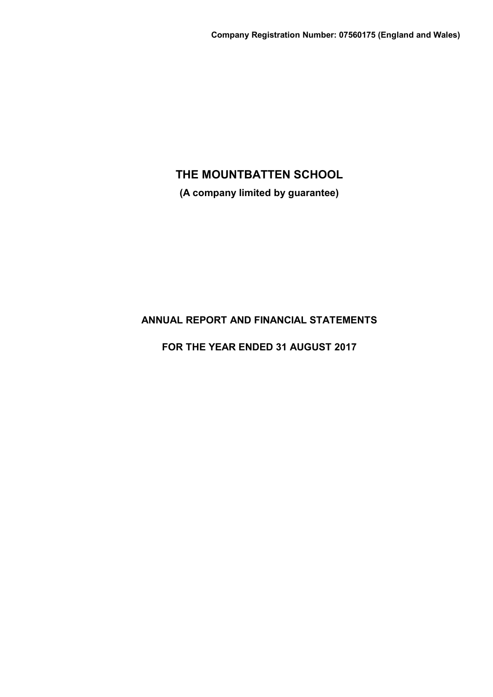**(A company limited by guarantee)**

# **ANNUAL REPORT AND FINANCIAL STATEMENTS**

**FOR THE YEAR ENDED 31 AUGUST 2017**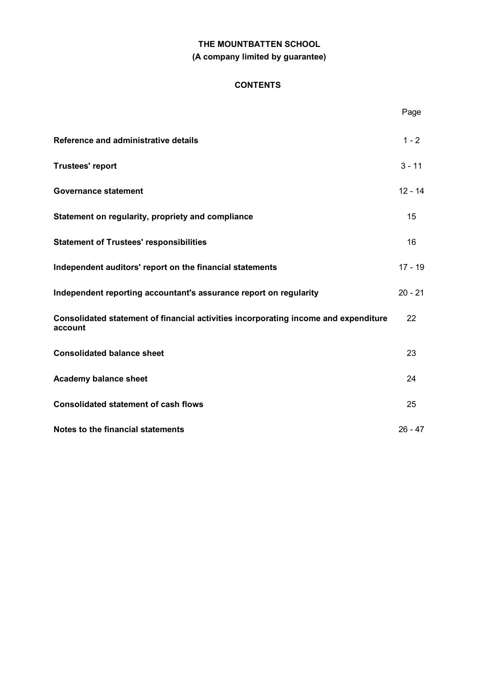# **THE MOUNTBATTEN SCHOOL (A company limited by guarantee)**

# **CONTENTS**

|                                                                                                | Page      |
|------------------------------------------------------------------------------------------------|-----------|
| Reference and administrative details                                                           | $1 - 2$   |
| <b>Trustees' report</b>                                                                        | $3 - 11$  |
| <b>Governance statement</b>                                                                    | $12 - 14$ |
| Statement on regularity, propriety and compliance                                              | 15        |
| <b>Statement of Trustees' responsibilities</b>                                                 | 16        |
| Independent auditors' report on the financial statements                                       | $17 - 19$ |
| Independent reporting accountant's assurance report on regularity                              | $20 - 21$ |
| Consolidated statement of financial activities incorporating income and expenditure<br>account | 22        |
| <b>Consolidated balance sheet</b>                                                              | 23        |
| <b>Academy balance sheet</b>                                                                   | 24        |
| <b>Consolidated statement of cash flows</b>                                                    | 25        |
| Notes to the financial statements                                                              | $26 - 47$ |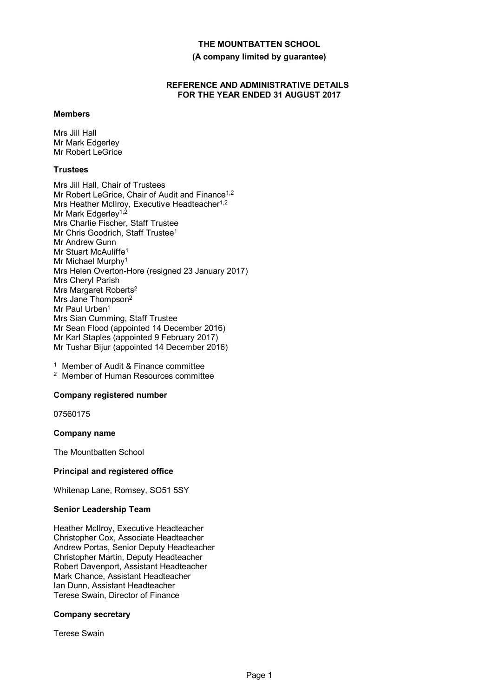**(A company limited by guarantee)**

# **REFERENCE AND ADMINISTRATIVE DETAILS FOR THE YEAR ENDED 31 AUGUST 2017**

#### **Members**

Mrs Jill Hall Mr Mark Edgerley Mr Robert LeGrice

# **Trustees**

Mrs Jill Hall, Chair of Trustees Mr Robert LeGrice, Chair of Audit and Finance<sup>1,2</sup> Mrs Heather McIlroy, Executive Headteacher<sup>1,2</sup> Mr Mark Edgerley<sup>1,2</sup> Mrs Charlie Fischer, Staff Trustee Mr Chris Goodrich, Staff Trustee<sup>1</sup> Mr Andrew Gunn Mr Stuart McAuliffe<sup>1</sup> Mr Michael Murphy<sup>1</sup> Mrs Helen Overton-Hore (resigned 23 January 2017) Mrs Cheryl Parish Mrs Margaret Roberts<sup>2</sup> Mrs Jane Thompson<sup>2</sup> Mr Paul Urben<sup>1</sup> Mrs Sian Cumming, Staff Trustee Mr Sean Flood (appointed 14 December 2016) Mr Karl Staples (appointed 9 February 2017) Mr Tushar Bijur (appointed 14 December 2016)

<sup>1</sup> Member of Audit & Finance committee <sup>2</sup> Member of Human Resources committee

# **Company registered number**

07560175

#### **Company name**

The Mountbatten School

# **Principal and registered office**

Whitenap Lane, Romsey, SO51 5SY

#### **Senior Leadership Team**

Heather McIlroy, Executive Headteacher Christopher Cox, Associate Headteacher Andrew Portas, Senior Deputy Headteacher Christopher Martin, Deputy Headteacher Robert Davenport, Assistant Headteacher Mark Chance, Assistant Headteacher Ian Dunn, Assistant Headteacher Terese Swain, Director of Finance

## **Company secretary**

Terese Swain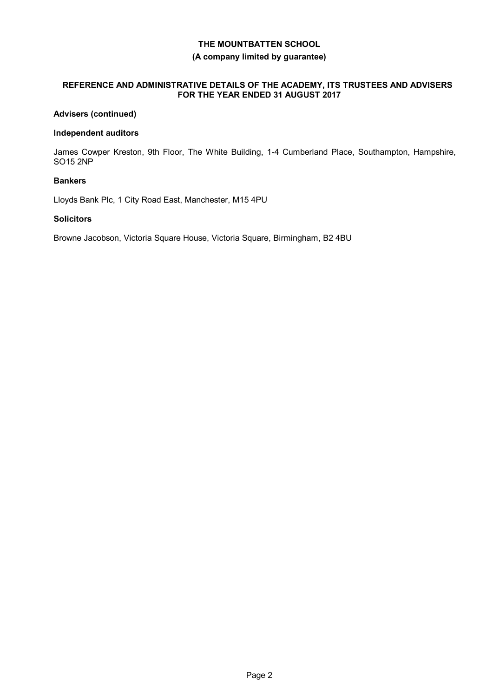## **(A company limited by guarantee)**

# **REFERENCE AND ADMINISTRATIVE DETAILS OF THE ACADEMY, ITS TRUSTEES AND ADVISERS FOR THE YEAR ENDED 31 AUGUST 2017**

# **Advisers (continued)**

## **Independent auditors**

James Cowper Kreston, 9th Floor, The White Building, 1-4 Cumberland Place, Southampton, Hampshire, SO15 2NP

# **Bankers**

Lloyds Bank Plc, 1 City Road East, Manchester, M15 4PU

## **Solicitors**

Browne Jacobson, Victoria Square House, Victoria Square, Birmingham, B2 4BU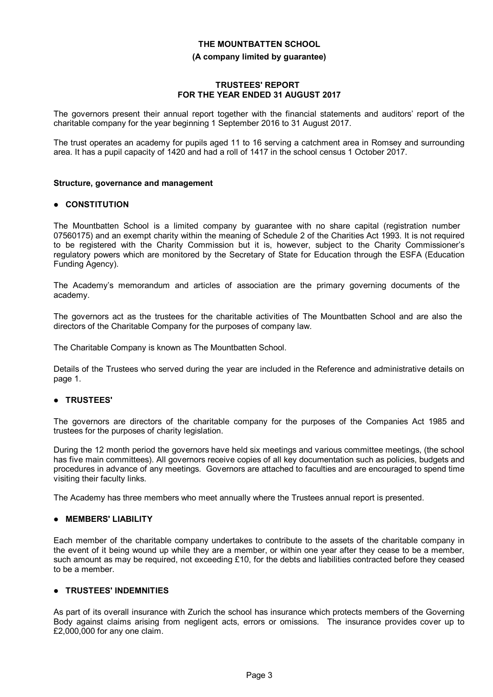#### **(A company limited by guarantee)**

## **TRUSTEES' REPORT FOR THE YEAR ENDED 31 AUGUST 2017**

The governors present their annual report together with the financial statements and auditors' report of the charitable company for the year beginning 1 September 2016 to 31 August 2017.

The trust operates an academy for pupils aged 11 to 16 serving a catchment area in Romsey and surrounding area. It has a pupil capacity of 1420 and had a roll of 1417 in the school census 1 October 2017.

# **Structure, governance and management**

# **CONSTITUTION**

The Mountbatten School is a limited company by guarantee with no share capital (registration number 07560175) and an exempt charity within the meaning of Schedule 2 of the Charities Act 1993. It is not required to be registered with the Charity Commission but it is, however, subject to the Charity Commissioner's regulatory powers which are monitored by the Secretary of State for Education through the ESFA (Education Funding Agency).

The Academy's memorandum and articles of association are the primary governing documents of the academy.

The governors act as the trustees for the charitable activities of The Mountbatten School and are also the directors of the Charitable Company for the purposes of company law.

The Charitable Company is known as The Mountbatten School.

Details of the Trustees who served during the year are included in the Reference and administrative details on page 1.

# **TRUSTEES'**

The governors are directors of the charitable company for the purposes of the Companies Act 1985 and trustees for the purposes of charity legislation.

During the 12 month period the governors have held six meetings and various committee meetings, (the school has five main committees). All governors receive copies of all key documentation such as policies, budgets and procedures in advance of any meetings. Governors are attached to faculties and are encouraged to spend time visiting their faculty links.

The Academy has three members who meet annually where the Trustees annual report is presented.

#### **MEMBERS' LIABILITY**

Each member of the charitable company undertakes to contribute to the assets of the charitable company in the event of it being wound up while they are a member, or within one year after they cease to be a member, such amount as may be required, not exceeding £10, for the debts and liabilities contracted before they ceased to be a member.

# **TRUSTEES' INDEMNITIES**

As part of its overall insurance with Zurich the school has insurance which protects members of the Governing Body against claims arising from negligent acts, errors or omissions. The insurance provides cover up to £2,000,000 for any one claim.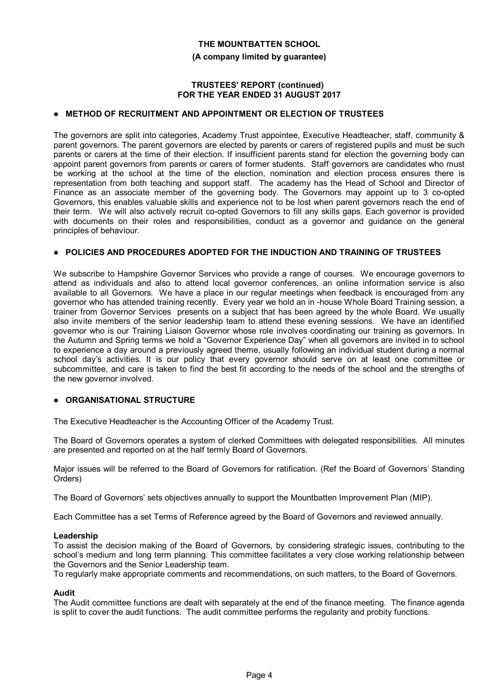**(A company limited by guarantee)**

## **TRUSTEES' REPORT (continued) FOR THE YEAR ENDED 31 AUGUST 2017**

# **METHOD OF RECRUITMENT AND APPOINTMENT OR ELECTION OF TRUSTEES**

The governors are split into categories, Academy Trust appointee, Executive Headteacher, staff, community & parent governors. The parent governors are elected by parents or carers of registered pupils and must be such parents or carers at the time of their election. If insufficient parents stand for election the governing body can appoint parent governors from parents or carers of former students. Staff governors are candidates who must be working at the school at the time of the election, nomination and election process ensures there is representation from both teaching and support staff. The academy has the Head of School and Director of Finance as an associate member of the governing body. The Governors may appoint up to 3 co-opted Governors, this enables valuable skills and experience not to be lost when parent governors reach the end of their term. We will also actively recruit co-opted Governors to fill any skills gaps. Each governor is provided with documents on their roles and responsibilities, conduct as a governor and guidance on the general principles of behaviour.

### **POLICIES AND PROCEDURES ADOPTED FOR THE INDUCTION AND TRAINING OF TRUSTEES**

We subscribe to Hampshire Governor Services who provide a range of courses. We encourage governors to attend as individuals and also to attend local governor conferences, an online information service is also available to all Governors. We have a place in our regular meetings when feedback is encouraged from any governor who has attended training recently. Every year we hold an in -house Whole Board Training session, a trainer from Governor Services presents on a subject that has been agreed by the whole Board. We usually also invite members of the senior leadership team to attend these evening sessions. We have an identified governor who is our Training Liaison Governor whose role involves coordinating our training as governors. In the Autumn and Spring terms we hold a "Governor Experience Day" when all governors are invited in to school to experience a day around a previously agreed theme, usually following an individual student during a normal school day's activities. It is our policy that every governor should serve on at least one committee or subcommittee, and care is taken to find the best fit according to the needs of the school and the strengths of the new governor involved.

# **ORGANISATIONAL STRUCTURE**

The Executive Headteacher is the Accounting Officer of the Academy Trust.

The Board of Governors operates a system of clerked Committees with delegated responsibilities. All minutes are presented and reported on at the half termly Board of Governors.

Major issues will be referred to the Board of Governors for ratification. (Ref the Board of Governors' Standing Orders)

The Board of Governors' sets objectives annually to support the Mountbatten Improvement Plan (MIP).

Each Committee has a set Terms of Reference agreed by the Board of Governors and reviewed annually.

#### **Leadership**

To assist the decision making of the Board of Governors, by considering strategic issues, contributing to the school's medium and long term planning. This committee facilitates a very close working relationship between the Governors and the Senior Leadership team.

To regularly make appropriate comments and recommendations, on such matters, to the Board of Governors.

#### **Audit**

The Audit committee functions are dealt with separately at the end of the finance meeting. The finance agenda is split to cover the audit functions. The audit committee performs the regularity and probity functions.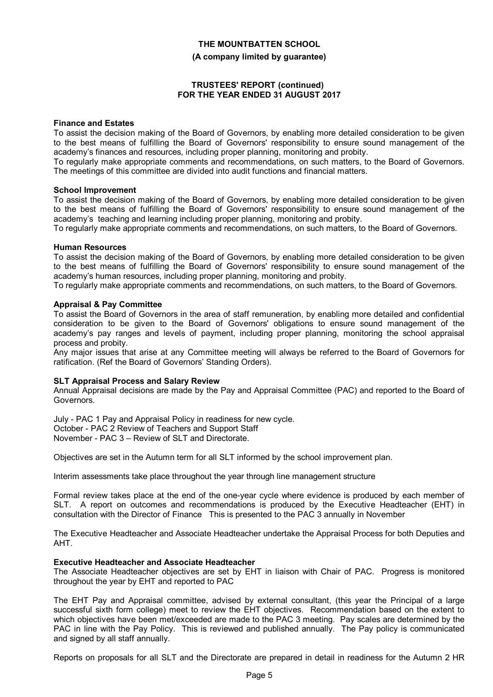#### **(A company limited by guarantee)**

#### **TRUSTEES' REPORT (continued) FOR THE YEAR ENDED 31 AUGUST 2017**

#### **Finance and Estates**

To assist the decision making of the Board of Governors, by enabling more detailed consideration to be given to the best means of fulfilling the Board of Governors' responsibility to ensure sound management of the academy's finances and resources, including proper planning, monitoring and probity.

To regularly make appropriate comments and recommendations, on such matters, to the Board of Governors. The meetings of this committee are divided into audit functions and financial matters.

#### **School Improvement**

To assist the decision making of the Board of Governors, by enabling more detailed consideration to be given to the best means of fulfilling the Board of Governors' responsibility to ensure sound management of the academy's teaching and learning including proper planning, monitoring and probity.

To regularly make appropriate comments and recommendations, on such matters, to the Board of Governors.

#### **Human Resources**

To assist the decision making of the Board of Governors, by enabling more detailed consideration to be given to the best means of fulfilling the Board of Governors' responsibility to ensure sound management of the academy's human resources, including proper planning, monitoring and probity.

To regularly make appropriate comments and recommendations, on such matters, to the Board of Governors.

#### **Appraisal & Pay Committee**

To assist the Board of Governors in the area of staff remuneration, by enabling more detailed and confidential consideration to be given to the Board of Governors' obligations to ensure sound management of the academy's pay ranges and levels of payment, including proper planning, monitoring the school appraisal process and probity.

Any major issues that arise at any Committee meeting will always be referred to the Board of Governors for ratification. (Ref the Board of Governors' Standing Orders).

#### **SLT Appraisal Process and Salary Review**

Annual Appraisal decisions are made by the Pay and Appraisal Committee (PAC) and reported to the Board of Governors.

July - PAC 1 Pay and Appraisal Policy in readiness for new cycle. October - PAC 2 Review of Teachers and Support Staff November - PAC 3 – Review of SLT and Directorate.

Objectives are set in the Autumn term for all SLT informed by the school improvement plan.

Interim assessments take place throughout the year through line management structure

Formal review takes place at the end of the one-year cycle where evidence is produced by each member of SLT. A report on outcomes and recommendations is produced by the Executive Headteacher (EHT) in consultation with the Director of Finance This is presented to the PAC 3 annually in November

The Executive Headteacher and Associate Headteacher undertake the Appraisal Process for both Deputies and AHT.

#### **Executive Headteacher and Associate Headteacher**

The Associate Headteacher objectives are set by EHT in liaison with Chair of PAC. Progress is monitored throughout the year by EHT and reported to PAC

The EHT Pay and Appraisal committee, advised by external consultant, (this year the Principal of a large successful sixth form college) meet to review the EHT objectives. Recommendation based on the extent to which objectives have been met/exceeded are made to the PAC 3 meeting. Pay scales are determined by the PAC in line with the Pay Policy. This is reviewed and published annually. The Pay policy is communicated and signed by all staff annually.

Reports on proposals for all SLT and the Directorate are prepared in detail in readiness for the Autumn 2 HR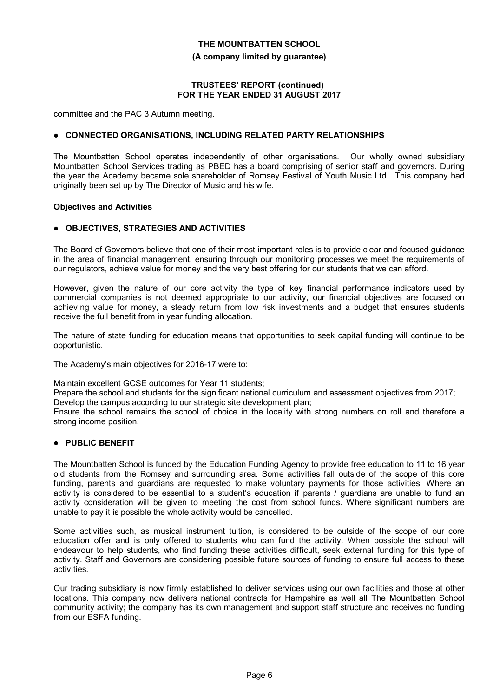**(A company limited by guarantee)**

## **TRUSTEES' REPORT (continued) FOR THE YEAR ENDED 31 AUGUST 2017**

committee and the PAC 3 Autumn meeting.

## **CONNECTED ORGANISATIONS, INCLUDING RELATED PARTY RELATIONSHIPS**

The Mountbatten School operates independently of other organisations. Our wholly owned subsidiary Mountbatten School Services trading as PBED has a board comprising of senior staff and governors. During the year the Academy became sole shareholder of Romsey Festival of Youth Music Ltd. This company had originally been set up by The Director of Music and his wife.

#### **Objectives and Activities**

# **OBJECTIVES, STRATEGIES AND ACTIVITIES**

The Board of Governors believe that one of their most important roles is to provide clear and focused guidance in the area of financial management, ensuring through our monitoring processes we meet the requirements of our regulators, achieve value for money and the very best offering for our students that we can afford.

However, given the nature of our core activity the type of key financial performance indicators used by commercial companies is not deemed appropriate to our activity, our financial objectives are focused on achieving value for money, a steady return from low risk investments and a budget that ensures students receive the full benefit from in year funding allocation.

The nature of state funding for education means that opportunities to seek capital funding will continue to be opportunistic.

The Academy's main objectives for 2016-17 were to:

Maintain excellent GCSE outcomes for Year 11 students;

Prepare the school and students for the significant national curriculum and assessment objectives from 2017;

Develop the campus according to our strategic site development plan;

Ensure the school remains the school of choice in the locality with strong numbers on roll and therefore a strong income position.

# **PUBLIC BENEFIT**

The Mountbatten School is funded by the Education Funding Agency to provide free education to 11 to 16 year old students from the Romsey and surrounding area. Some activities fall outside of the scope of this core funding, parents and guardians are requested to make voluntary payments for those activities. Where an activity is considered to be essential to a student's education if parents / guardians are unable to fund an activity consideration will be given to meeting the cost from school funds. Where significant numbers are unable to pay it is possible the whole activity would be cancelled.

Some activities such, as musical instrument tuition, is considered to be outside of the scope of our core education offer and is only offered to students who can fund the activity. When possible the school will endeavour to help students, who find funding these activities difficult, seek external funding for this type of activity. Staff and Governors are considering possible future sources of funding to ensure full access to these activities.

Our trading subsidiary is now firmly established to deliver services using our own facilities and those at other locations. This company now delivers national contracts for Hampshire as well all The Mountbatten School community activity; the company has its own management and support staff structure and receives no funding from our ESFA funding.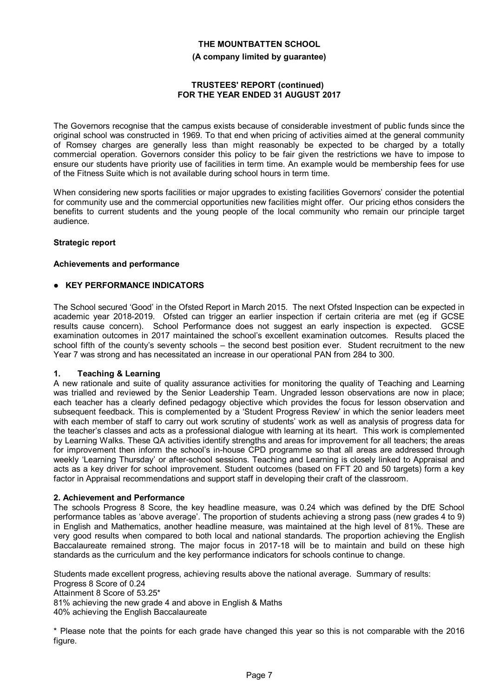**(A company limited by guarantee)**

# **TRUSTEES' REPORT (continued) FOR THE YEAR ENDED 31 AUGUST 2017**

The Governors recognise that the campus exists because of considerable investment of public funds since the original school was constructed in 1969. To that end when pricing of activities aimed at the general community of Romsey charges are generally less than might reasonably be expected to be charged by a totally commercial operation. Governors consider this policy to be fair given the restrictions we have to impose to ensure our students have priority use of facilities in term time. An example would be membership fees for use of the Fitness Suite which is not available during school hours in term time.

When considering new sports facilities or major upgrades to existing facilities Governors' consider the potential for community use and the commercial opportunities new facilities might offer. Our pricing ethos considers the benefits to current students and the young people of the local community who remain our principle target audience.

# **Strategic report**

# **Achievements and performance**

# **KEY PERFORMANCE INDICATORS**

The School secured 'Good' in the Ofsted Report in March 2015. The next Ofsted Inspection can be expected in academic year 2018-2019. Ofsted can trigger an earlier inspection if certain criteria are met (eg if GCSE results cause concern). School Performance does not suggest an early inspection is expected. GCSE examination outcomes in 2017 maintained the school's excellent examination outcomes. Results placed the school fifth of the county's seventy schools – the second best position ever. Student recruitment to the new Year 7 was strong and has necessitated an increase in our operational PAN from 284 to 300.

# **1. Teaching & Learning**

A new rationale and suite of quality assurance activities for monitoring the quality of Teaching and Learning was trialled and reviewed by the Senior Leadership Team. Ungraded lesson observations are now in place; each teacher has a clearly defined pedagogy objective which provides the focus for lesson observation and subsequent feedback. This is complemented by a 'Student Progress Review' in which the senior leaders meet with each member of staff to carry out work scrutiny of students' work as well as analysis of progress data for the teacher's classes and acts as a professional dialogue with learning at its heart. This work is complemented by Learning Walks. These QA activities identify strengths and areas for improvement for all teachers; the areas for improvement then inform the school's in-house CPD programme so that all areas are addressed through weekly 'Learning Thursday' or after-school sessions. Teaching and Learning is closely linked to Appraisal and acts as a key driver for school improvement. Student outcomes (based on FFT 20 and 50 targets) form a key factor in Appraisal recommendations and support staff in developing their craft of the classroom.

# **2. Achievement and Performance**

The schools Progress 8 Score, the key headline measure, was 0.24 which was defined by the DfE School performance tables as 'above average'. The proportion of students achieving a strong pass (new grades 4 to 9) in English and Mathematics, another headline measure, was maintained at the high level of 81%. These are very good results when compared to both local and national standards. The proportion achieving the English Baccalaureate remained strong. The major focus in 2017-18 will be to maintain and build on these high standards as the curriculum and the key performance indicators for schools continue to change.

Students made excellent progress, achieving results above the national average. Summary of results: Progress 8 Score of 0.24

Attainment 8 Score of 53.25\*

81% achieving the new grade 4 and above in English & Maths

40% achieving the English Baccalaureate

\* Please note that the points for each grade have changed this year so this is not comparable with the 2016 figure.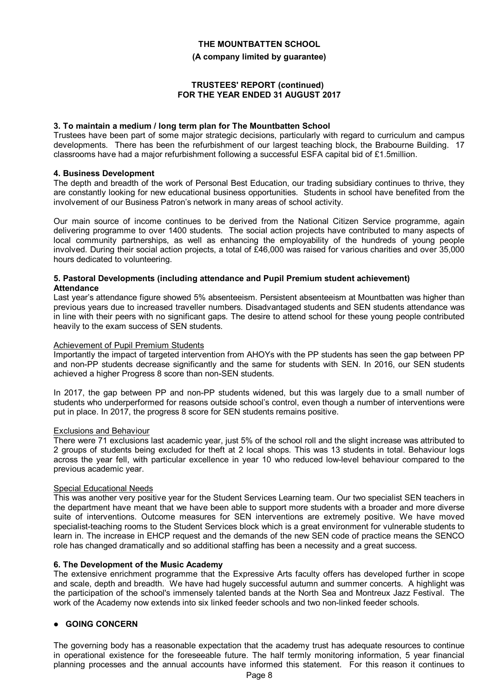#### **(A company limited by guarantee)**

## **TRUSTEES' REPORT (continued) FOR THE YEAR ENDED 31 AUGUST 2017**

#### **3. To maintain a medium / long term plan for The Mountbatten School**

Trustees have been part of some major strategic decisions, particularly with regard to curriculum and campus developments. There has been the refurbishment of our largest teaching block, the Brabourne Building. 17 classrooms have had a major refurbishment following a successful ESFA capital bid of £1.5million.

### **4. Business Development**

The depth and breadth of the work of Personal Best Education, our trading subsidiary continues to thrive, they are constantly looking for new educational business opportunities. Students in school have benefited from the involvement of our Business Patron's network in many areas of school activity.

Our main source of income continues to be derived from the National Citizen Service programme, again delivering programme to over 1400 students. The social action projects have contributed to many aspects of local community partnerships, as well as enhancing the employability of the hundreds of young people involved. During their social action projects, a total of £46,000 was raised for various charities and over 35,000 hours dedicated to volunteering.

#### **5. Pastoral Developments (including attendance and Pupil Premium student achievement) Attendance**

Last year's attendance figure showed 5% absenteeism. Persistent absenteeism at Mountbatten was higher than previous years due to increased traveller numbers. Disadvantaged students and SEN students attendance was in line with their peers with no significant gaps. The desire to attend school for these young people contributed heavily to the exam success of SEN students.

### Achievement of Pupil Premium Students

Importantly the impact of targeted intervention from AHOYs with the PP students has seen the gap between PP and non-PP students decrease significantly and the same for students with SEN. In 2016, our SEN students achieved a higher Progress 8 score than non-SEN students.

In 2017, the gap between PP and non-PP students widened, but this was largely due to a small number of students who underperformed for reasons outside school's control, even though a number of interventions were put in place. In 2017, the progress 8 score for SEN students remains positive.

#### Exclusions and Behaviour

There were 71 exclusions last academic year, just 5% of the school roll and the slight increase was attributed to 2 groups of students being excluded for theft at 2 local shops. This was 13 students in total. Behaviour logs across the year fell, with particular excellence in year 10 who reduced low-level behaviour compared to the previous academic year.

#### Special Educational Needs

This was another very positive year for the Student Services Learning team. Our two specialist SEN teachers in the department have meant that we have been able to support more students with a broader and more diverse suite of interventions. Outcome measures for SEN interventions are extremely positive. We have moved specialist-teaching rooms to the Student Services block which is a great environment for vulnerable students to learn in. The increase in EHCP request and the demands of the new SEN code of practice means the SENCO role has changed dramatically and so additional staffing has been a necessity and a great success.

# **6. The Development of the Music Academy**

The extensive enrichment programme that the Expressive Arts faculty offers has developed further in scope and scale, depth and breadth. We have had hugely successful autumn and summer concerts. A highlight was the participation of the school's immensely talented bands at the North Sea and Montreux Jazz Festival. The work of the Academy now extends into six linked feeder schools and two non-linked feeder schools.

# **GOING CONCERN**

The governing body has a reasonable expectation that the academy trust has adequate resources to continue in operational existence for the foreseeable future. The half termly monitoring information, 5 year financial planning processes and the annual accounts have informed this statement. For this reason it continues to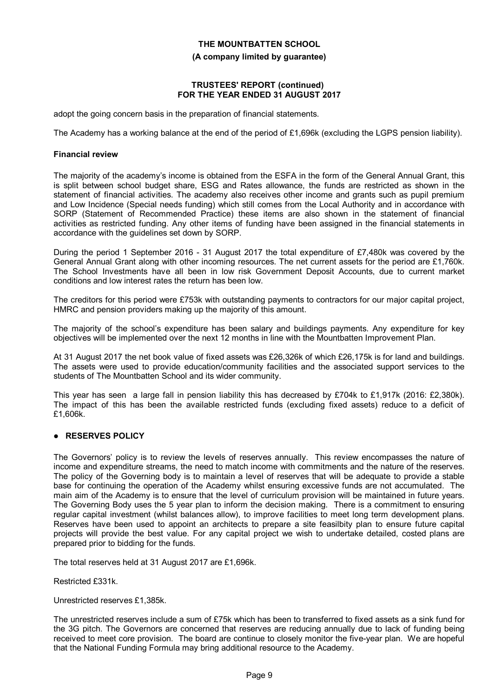## **(A company limited by guarantee)**

# **TRUSTEES' REPORT (continued) FOR THE YEAR ENDED 31 AUGUST 2017**

adopt the going concern basis in the preparation of financial statements.

The Academy has a working balance at the end of the period of £1,696k (excluding the LGPS pension liability).

# **Financial review**

The majority of the academy's income is obtained from the ESFA in the form of the General Annual Grant, this is split between school budget share, ESG and Rates allowance, the funds are restricted as shown in the statement of financial activities. The academy also receives other income and grants such as pupil premium and Low Incidence (Special needs funding) which still comes from the Local Authority and in accordance with SORP (Statement of Recommended Practice) these items are also shown in the statement of financial activities as restricted funding. Any other items of funding have been assigned in the financial statements in accordance with the guidelines set down by SORP.

During the period 1 September 2016 - 31 August 2017 the total expenditure of £7,480k was covered by the General Annual Grant along with other incoming resources. The net current assets for the period are £1,760k. The School Investments have all been in low risk Government Deposit Accounts, due to current market conditions and low interest rates the return has been low.

The creditors for this period were £753k with outstanding payments to contractors for our major capital project, HMRC and pension providers making up the majority of this amount.

The majority of the school's expenditure has been salary and buildings payments. Any expenditure for key objectives will be implemented over the next 12 months in line with the Mountbatten Improvement Plan.

At 31 August 2017 the net book value of fixed assets was £26,326k of which £26,175k is for land and buildings. The assets were used to provide education/community facilities and the associated support services to the students of The Mountbatten School and its wider community.

This year has seen a large fall in pension liability this has decreased by £704k to £1,917k (2016: £2,380k). The impact of this has been the available restricted funds (excluding fixed assets) reduce to a deficit of £1,606k.

# **RESERVES POLICY**

The Governors' policy is to review the levels of reserves annually. This review encompasses the nature of income and expenditure streams, the need to match income with commitments and the nature of the reserves. The policy of the Governing body is to maintain a level of reserves that will be adequate to provide a stable base for continuing the operation of the Academy whilst ensuring excessive funds are not accumulated. The main aim of the Academy is to ensure that the level of curriculum provision will be maintained in future years. The Governing Body uses the 5 year plan to inform the decision making. There is a commitment to ensuring regular capital investment (whilst balances allow), to improve facilities to meet long term development plans. Reserves have been used to appoint an architects to prepare a site feasilbity plan to ensure future capital projects will provide the best value. For any capital project we wish to undertake detailed, costed plans are prepared prior to bidding for the funds.

The total reserves held at 31 August 2017 are £1,696k.

Restricted £331k.

Unrestricted reserves £1,385k.

The unrestricted reserves include a sum of £75k which has been to transferred to fixed assets as a sink fund for the 3G pitch. The Governors are concerned that reserves are reducing annually due to lack of funding being received to meet core provision. The board are continue to closely monitor the five-year plan. We are hopeful that the National Funding Formula may bring additional resource to the Academy.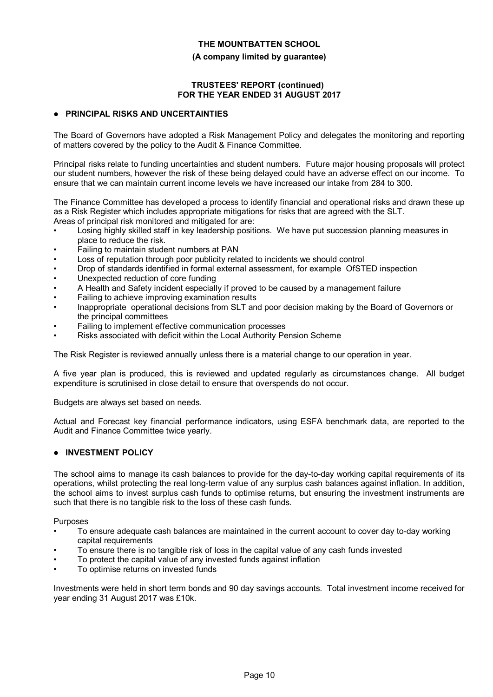## **(A company limited by guarantee)**

# **TRUSTEES' REPORT (continued) FOR THE YEAR ENDED 31 AUGUST 2017**

# **PRINCIPAL RISKS AND UNCERTAINTIES**

The Board of Governors have adopted a Risk Management Policy and delegates the monitoring and reporting of matters covered by the policy to the Audit & Finance Committee.

Principal risks relate to funding uncertainties and student numbers. Future major housing proposals will protect our student numbers, however the risk of these being delayed could have an adverse effect on our income. To ensure that we can maintain current income levels we have increased our intake from 284 to 300.

The Finance Committee has developed a process to identify financial and operational risks and drawn these up as a Risk Register which includes appropriate mitigations for risks that are agreed with the SLT. Areas of principal risk monitored and mitigated for are:

- Losing highly skilled staff in key leadership positions. We have put succession planning measures in place to reduce the risk.
- Failing to maintain student numbers at PAN
- Loss of reputation through poor publicity related to incidents we should control
- Drop of standards identified in formal external assessment, for example OfSTED inspection
- Unexpected reduction of core funding
- A Health and Safety incident especially if proved to be caused by a management failure
- Failing to achieve improving examination results
- Inappropriate operational decisions from SLT and poor decision making by the Board of Governors or the principal committees
- Failing to implement effective communication processes
- Risks associated with deficit within the Local Authority Pension Scheme

The Risk Register is reviewed annually unless there is a material change to our operation in year.

A five year plan is produced, this is reviewed and updated regularly as circumstances change. All budget expenditure is scrutinised in close detail to ensure that overspends do not occur.

Budgets are always set based on needs.

Actual and Forecast key financial performance indicators, using ESFA benchmark data, are reported to the Audit and Finance Committee twice yearly.

# **INVESTMENT POLICY**

The school aims to manage its cash balances to provide for the day-to-day working capital requirements of its operations, whilst protecting the real long-term value of any surplus cash balances against inflation. In addition, the school aims to invest surplus cash funds to optimise returns, but ensuring the investment instruments are such that there is no tangible risk to the loss of these cash funds.

Purposes

- To ensure adequate cash balances are maintained in the current account to cover day to-day working capital requirements
- To ensure there is no tangible risk of loss in the capital value of any cash funds invested
- To protect the capital value of any invested funds against inflation
- To optimise returns on invested funds

Investments were held in short term bonds and 90 day savings accounts. Total investment income received for year ending 31 August 2017 was £10k.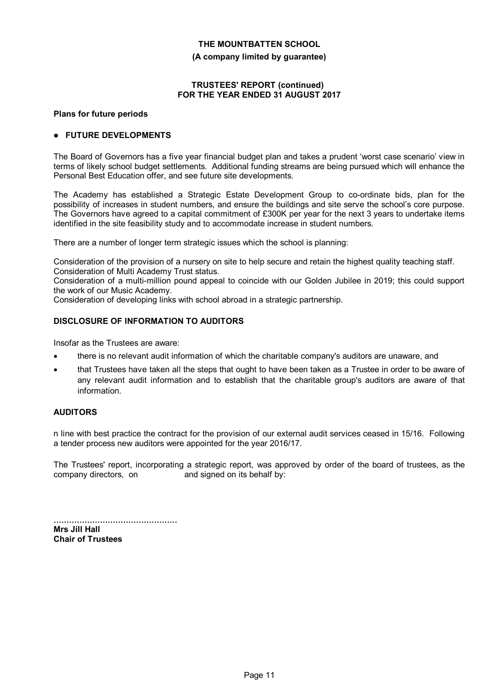**(A company limited by guarantee)**

## **TRUSTEES' REPORT (continued) FOR THE YEAR ENDED 31 AUGUST 2017**

#### **Plans for future periods**

# **FUTURE DEVELOPMENTS**

The Board of Governors has a five year financial budget plan and takes a prudent 'worst case scenario' view in terms of likely school budget settlements. Additional funding streams are being pursued which will enhance the Personal Best Education offer, and see future site developments.

The Academy has established a Strategic Estate Development Group to co-ordinate bids, plan for the possibility of increases in student numbers, and ensure the buildings and site serve the school's core purpose. The Governors have agreed to a capital commitment of £300K per year for the next 3 years to undertake items identified in the site feasibility study and to accommodate increase in student numbers.

There are a number of longer term strategic issues which the school is planning:

Consideration of the provision of a nursery on site to help secure and retain the highest quality teaching staff. Consideration of Multi Academy Trust status.

Consideration of a multi-million pound appeal to coincide with our Golden Jubilee in 2019; this could support the work of our Music Academy.

Consideration of developing links with school abroad in a strategic partnership.

# **DISCLOSURE OF INFORMATION TO AUDITORS**

Insofar as the Trustees are aware:

- there is no relevant audit information of which the charitable company's auditors are unaware, and
- that Trustees have taken all the steps that ought to have been taken as a Trustee in order to be aware of any relevant audit information and to establish that the charitable group's auditors are aware of that information.

# **AUDITORS**

n line with best practice the contract for the provision of our external audit services ceased in 15/16. Following a tender process new auditors were appointed for the year 2016/17.

The Trustees' report, incorporating a strategic report, was approved by order of the board of trustees, as the company directors, on and signed on its behalf by:

................................................ **Mrs Jill Hall Chair of Trustees**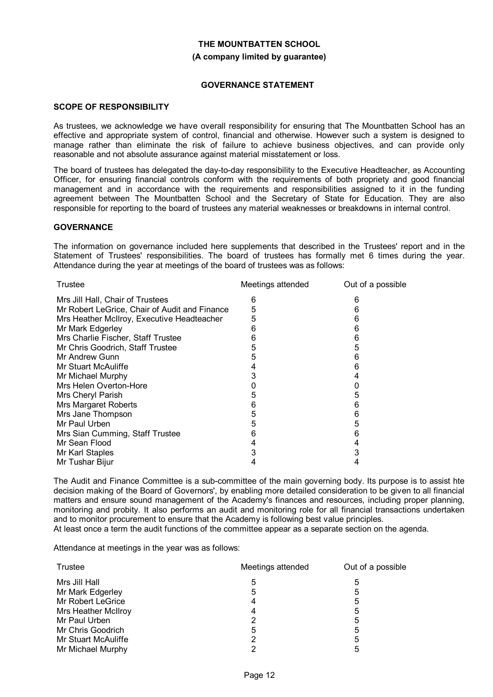# **THE MOUNTBATTEN SCHOOL (A company limited by guarantee)**

## **GOVERNANCE STATEMENT**

# **SCOPE OF RESPONSIBILITY**

As trustees, we acknowledge we have overall responsibility for ensuring that The Mountbatten School has an effective and appropriate system of control, financial and otherwise. However such a system is designed to manage rather than eliminate the risk of failure to achieve business objectives, and can provide only reasonable and not absolute assurance against material misstatement or loss.

The board of trustees has delegated the day-to-day responsibility to the Executive Headteacher, as Accounting Officer, for ensuring financial controls conform with the requirements of both propriety and good financial management and in accordance with the requirements and responsibilities assigned to it in the funding agreement between The Mountbatten School and the Secretary of State for Education. They are also responsible for reporting to the board of trustees any material weaknesses or breakdowns in internal control.

### **GOVERNANCE**

The information on governance included here supplements that described in the Trustees' report and in the Statement of Trustees' responsibilities. The board of trustees has formally met 6 times during the year. Attendance during the year at meetings of the board of trustees was as follows:

| Trustee                                       | Meetings attended | Out of a possible |
|-----------------------------------------------|-------------------|-------------------|
| Mrs Jill Hall, Chair of Trustees              | 6                 | 6                 |
| Mr Robert LeGrice, Chair of Audit and Finance | 5                 | 6                 |
| Mrs Heather McIlroy, Executive Headteacher    | 5                 | 6                 |
| Mr Mark Edgerley                              | 6                 | 6                 |
| Mrs Charlie Fischer, Staff Trustee            | 6                 | 6                 |
| Mr Chris Goodrich, Staff Trustee              | 5                 | 5                 |
| Mr Andrew Gunn                                | 5                 | 6                 |
| Mr Stuart McAuliffe                           | 4                 | 6                 |
| Mr Michael Murphy                             | 3                 | 4                 |
| Mrs Helen Overton-Hore                        |                   |                   |
| Mrs Cheryl Parish                             | 5                 | 5                 |
| <b>Mrs Margaret Roberts</b>                   | 6                 | 6                 |
| Mrs Jane Thompson                             | 5                 | 6                 |
| Mr Paul Urben                                 | 5                 | 5                 |
| Mrs Sian Cumming, Staff Trustee               | 6                 | 6                 |
| Mr Sean Flood                                 | 4                 | 4                 |
| Mr Karl Staples                               | 3                 | 3                 |
| Mr Tushar Bijur                               | 4                 | 4                 |
|                                               |                   |                   |

The Audit and Finance Committee is a sub-committee of the main governing body. Its purpose is to assist hte decision making of the Board of Governors', by enabling more detailed consideration to be given to all financial matters and ensure sound management of the Academy's finances and resources, including proper planning, monitoring and probity. It also performs an audit and monitoring role for all financial transactions undertaken and to monitor procurement to ensure that the Academy is following best value principles.

At least once a term the audit functions of the committee appear as a separate section on the agenda.

Attendance at meetings in the year was as follows:

| Trustee             | Meetings attended | Out of a possible |  |
|---------------------|-------------------|-------------------|--|
| Mrs Jill Hall       | 5                 | 5                 |  |
| Mr Mark Edgerley    | 5                 | 5                 |  |
| Mr Robert LeGrice   | 4                 | 5                 |  |
| Mrs Heather McIlroy | 4                 | 5                 |  |
| Mr Paul Urben       |                   | 5                 |  |
| Mr Chris Goodrich   | 5                 | 5                 |  |
| Mr Stuart McAuliffe | 2                 | 5                 |  |
| Mr Michael Murphy   | っ                 | 5                 |  |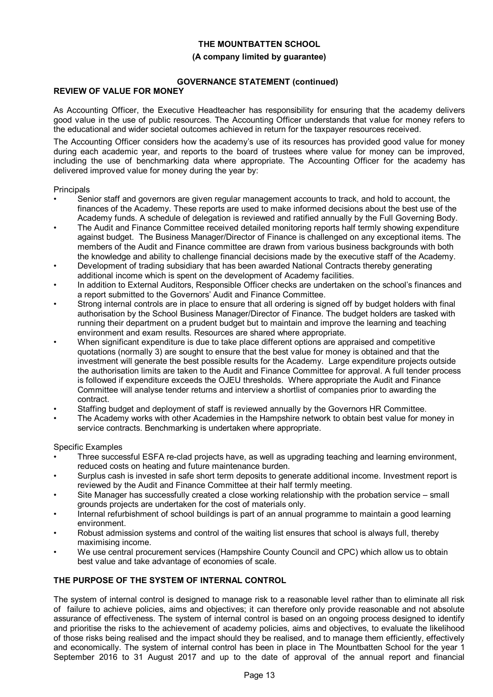## **(A company limited by guarantee)**

# **GOVERNANCE STATEMENT (continued)**

# **REVIEW OF VALUE FOR MONEY**

As Accounting Officer, the Executive Headteacher has responsibility for ensuring that the academy delivers good value in the use of public resources. The Accounting Officer understands that value for money refers to the educational and wider societal outcomes achieved in return for the taxpayer resources received.

The Accounting Officer considers how the academy's use of its resources has provided good value for money during each academic year, and reports to the board of trustees where value for money can be improved, including the use of benchmarking data where appropriate. The Accounting Officer for the academy has delivered improved value for money during the year by:

# **Principals**

- Senior staff and governors are given regular management accounts to track, and hold to account, the finances of the Academy. These reports are used to make informed decisions about the best use of the Academy funds. A schedule of delegation is reviewed and ratified annually by the Full Governing Body.
- The Audit and Finance Committee received detailed monitoring reports half termly showing expenditure against budget. The Business Manager/Director of Finance is challenged on any exceptional items. The members of the Audit and Finance committee are drawn from various business backgrounds with both the knowledge and ability to challenge financial decisions made by the executive staff of the Academy.
- Development of trading subsidiary that has been awarded National Contracts thereby generating additional income which is spent on the development of Academy facilities.
- In addition to External Auditors, Responsible Officer checks are undertaken on the school's finances and a report submitted to the Governors' Audit and Finance Committee.
- Strong internal controls are in place to ensure that all ordering is signed off by budget holders with final authorisation by the School Business Manager/Director of Finance. The budget holders are tasked with running their department on a prudent budget but to maintain and improve the learning and teaching environment and exam results. Resources are shared where appropriate.
- When significant expenditure is due to take place different options are appraised and competitive quotations (normally 3) are sought to ensure that the best value for money is obtained and that the investment will generate the best possible results for the Academy. Large expenditure projects outside the authorisation limits are taken to the Audit and Finance Committee for approval. A full tender process is followed if expenditure exceeds the OJEU thresholds. Where appropriate the Audit and Finance Committee will analyse tender returns and interview a shortlist of companies prior to awarding the contract.
- Staffing budget and deployment of staff is reviewed annually by the Governors HR Committee.
- The Academy works with other Academies in the Hampshire network to obtain best value for money in service contracts. Benchmarking is undertaken where appropriate.

Specific Examples

- Three successful ESFA re-clad projects have, as well as upgrading teaching and learning environment, reduced costs on heating and future maintenance burden.
- Surplus cash is invested in safe short term deposits to generate additional income. Investment report is reviewed by the Audit and Finance Committee at their half termly meeting.
- Site Manager has successfully created a close working relationship with the probation service small grounds projects are undertaken for the cost of materials only.
- Internal refurbishment of school buildings is part of an annual programme to maintain a good learning environment.
- Robust admission systems and control of the waiting list ensures that school is always full, thereby maximising income.
- We use central procurement services (Hampshire County Council and CPC) which allow us to obtain best value and take advantage of economies of scale.

# **THE PURPOSE OF THE SYSTEM OF INTERNAL CONTROL**

The system of internal control is designed to manage risk to a reasonable level rather than to eliminate all risk of failure to achieve policies, aims and objectives; it can therefore only provide reasonable and not absolute assurance of effectiveness. The system of internal control is based on an ongoing process designed to identify and prioritise the risks to the achievement of academy policies, aims and objectives, to evaluate the likelihood of those risks being realised and the impact should they be realised, and to manage them efficiently, effectively and economically. The system of internal control has been in place in The Mountbatten School for the year 1 September 2016 to 31 August 2017 and up to the date of approval of the annual report and financial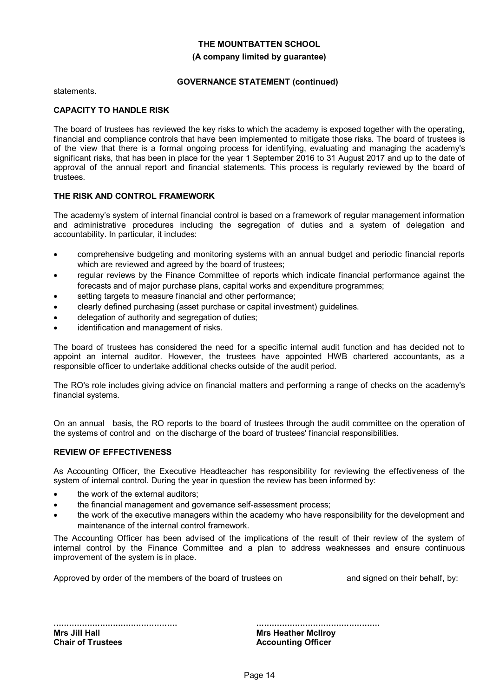#### **(A company limited by guarantee)**

# **GOVERNANCE STATEMENT (continued)**

statements.

## **CAPACITY TO HANDLE RISK**

The board of trustees has reviewed the key risks to which the academy is exposed together with the operating, financial and compliance controls that have been implemented to mitigate those risks. The board of trustees is of the view that there is a formal ongoing process for identifying, evaluating and managing the academy's significant risks, that has been in place for the year 1 September 2016 to 31 August 2017 and up to the date of approval of the annual report and financial statements. This process is regularly reviewed by the board of trustees.

### **THE RISK AND CONTROL FRAMEWORK**

The academy's system of internal financial control is based on a framework of regular management information and administrative procedures including the segregation of duties and a system of delegation and accountability. In particular, it includes:

- comprehensive budgeting and monitoring systems with an annual budget and periodic financial reports which are reviewed and agreed by the board of trustees;
- regular reviews by the Finance Committee of reports which indicate financial performance against the forecasts and of major purchase plans, capital works and expenditure programmes;
- setting targets to measure financial and other performance;
- clearly defined purchasing (asset purchase or capital investment) guidelines.
- delegation of authority and segregation of duties;
- identification and management of risks.

The board of trustees has considered the need for a specific internal audit function and has decided not to appoint an internal auditor. However, the trustees have appointed HWB chartered accountants, as a responsible officer to undertake additional checks outside of the audit period.

The RO's role includes giving advice on financial matters and performing a range of checks on the academy's financial systems.

On an annual basis, the RO reports to the board of trustees through the audit committee on the operation of the systems of control and on the discharge of the board of trustees' financial responsibilities.

# **REVIEW OF EFFECTIVENESS**

As Accounting Officer, the Executive Headteacher has responsibility for reviewing the effectiveness of the system of internal control. During the year in question the review has been informed by:

- the work of the external auditors;
- the financial management and governance self-assessment process;
- the work of the executive managers within the academy who have responsibility for the development and maintenance of the internal control framework.

The Accounting Officer has been advised of the implications of the result of their review of the system of internal control by the Finance Committee and a plan to address weaknesses and ensure continuous improvement of the system is in place.

Approved by order of the members of the board of trustees on and signed on their behalf, by:

................................................ **Mrs Jill Hall Chair of Trustees**

................................................ **Mrs Heather McIlroy Accounting Officer**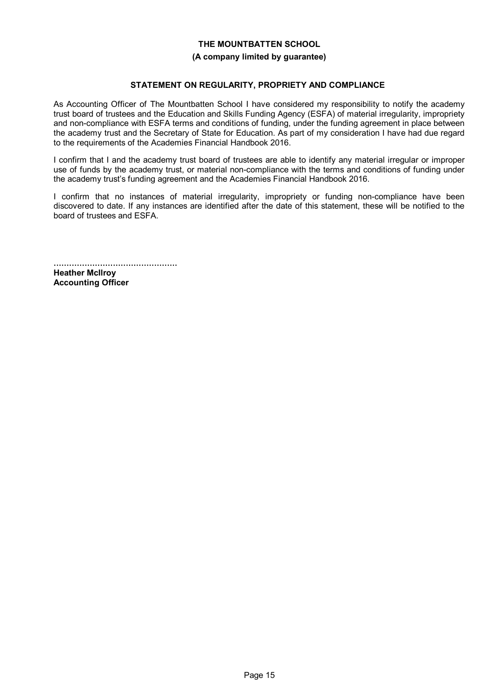#### **(A company limited by guarantee)**

# **STATEMENT ON REGULARITY, PROPRIETY AND COMPLIANCE**

As Accounting Officer of The Mountbatten School I have considered my responsibility to notify the academy trust board of trustees and the Education and Skills Funding Agency (ESFA) of material irregularity, impropriety and non-compliance with ESFA terms and conditions of funding, under the funding agreement in place between the academy trust and the Secretary of State for Education. As part of my consideration I have had due regard to the requirements of the Academies Financial Handbook 2016.

I confirm that I and the academy trust board of trustees are able to identify any material irregular or improper use of funds by the academy trust, or material non-compliance with the terms and conditions of funding under the academy trust's funding agreement and the Academies Financial Handbook 2016.

I confirm that no instances of material irregularity, impropriety or funding non-compliance have been discovered to date. If any instances are identified after the date of this statement, these will be notified to the board of trustees and ESFA.

................................................ **Heather McIlroy Accounting Officer**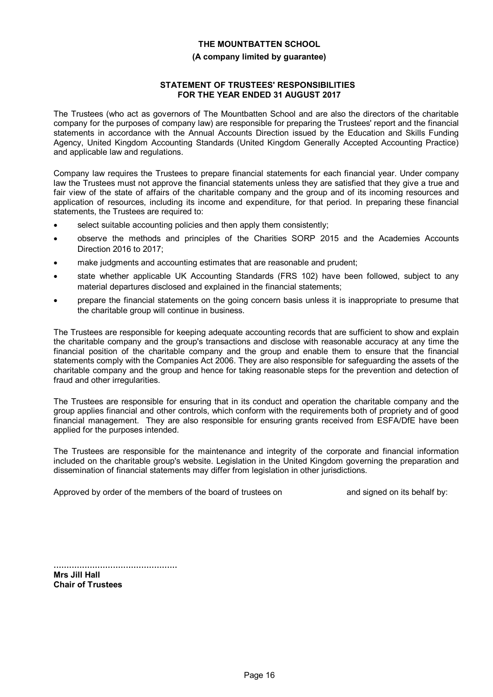#### **(A company limited by guarantee)**

## **STATEMENT OF TRUSTEES' RESPONSIBILITIES FOR THE YEAR ENDED 31 AUGUST 2017**

The Trustees (who act as governors of The Mountbatten School and are also the directors of the charitable company for the purposes of company law) are responsible for preparing the Trustees' report and the financial statements in accordance with the Annual Accounts Direction issued by the Education and Skills Funding Agency, United Kingdom Accounting Standards (United Kingdom Generally Accepted Accounting Practice) and applicable law and regulations.

Company law requires the Trustees to prepare financial statements for each financial year. Under company law the Trustees must not approve the financial statements unless they are satisfied that they give a true and fair view of the state of affairs of the charitable company and the group and of its incoming resources and application of resources, including its income and expenditure, for that period. In preparing these financial statements, the Trustees are required to:

- select suitable accounting policies and then apply them consistently;
- observe the methods and principles of the Charities SORP 2015 and the Academies Accounts Direction 2016 to 2017;
- make judgments and accounting estimates that are reasonable and prudent;
- state whether applicable UK Accounting Standards (FRS 102) have been followed, subject to any material departures disclosed and explained in the financial statements;
- prepare the financial statements on the going concern basis unless it is inappropriate to presume that the charitable group will continue in business.

The Trustees are responsible for keeping adequate accounting records that are sufficient to show and explain the charitable company and the group's transactions and disclose with reasonable accuracy at any time the financial position of the charitable company and the group and enable them to ensure that the financial statements comply with the Companies Act 2006. They are also responsible for safeguarding the assets of the charitable company and the group and hence for taking reasonable steps for the prevention and detection of fraud and other irregularities.

The Trustees are responsible for ensuring that in its conduct and operation the charitable company and the group applies financial and other controls, which conform with the requirements both of propriety and of good financial management. They are also responsible for ensuring grants received from ESFA/DfE have been applied for the purposes intended.

The Trustees are responsible for the maintenance and integrity of the corporate and financial information included on the charitable group's website. Legislation in the United Kingdom governing the preparation and dissemination of financial statements may differ from legislation in other jurisdictions.

Approved by order of the members of the board of trustees on and signed on its behalf by:

................................................ **Mrs Jill Hall Chair of Trustees**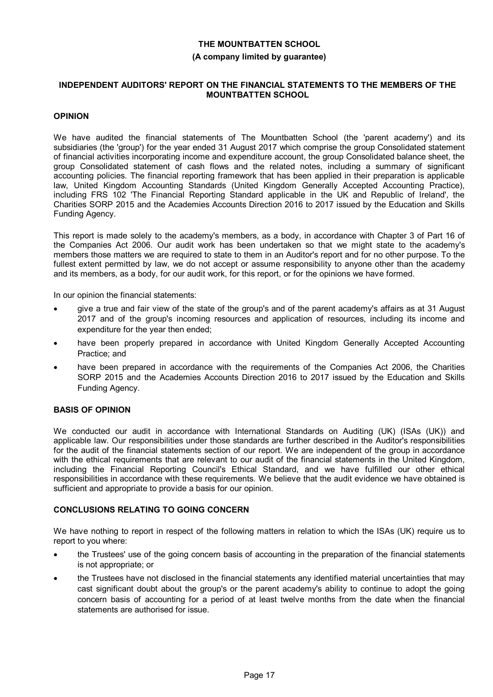#### **(A company limited by guarantee)**

### **INDEPENDENT AUDITORS' REPORT ON THE FINANCIAL STATEMENTS TO THE MEMBERS OF THE MOUNTBATTEN SCHOOL**

## **OPINION**

We have audited the financial statements of The Mountbatten School (the 'parent academy') and its subsidiaries (the 'group') for the year ended 31 August 2017 which comprise the group Consolidated statement of financial activities incorporating income and expenditure account, the group Consolidated balance sheet, the group Consolidated statement of cash flows and the related notes, including a summary of significant accounting policies. The financial reporting framework that has been applied in their preparation is applicable law, United Kingdom Accounting Standards (United Kingdom Generally Accepted Accounting Practice), including FRS 102 'The Financial Reporting Standard applicable in the UK and Republic of Ireland', the Charities SORP 2015 and the Academies Accounts Direction 2016 to 2017 issued by the Education and Skills Funding Agency.

This report is made solely to the academy's members, as a body, in accordance with Chapter 3 of Part 16 of the Companies Act 2006. Our audit work has been undertaken so that we might state to the academy's members those matters we are required to state to them in an Auditor's report and for no other purpose. To the fullest extent permitted by law, we do not accept or assume responsibility to anyone other than the academy and its members, as a body, for our audit work, for this report, or for the opinions we have formed.

In our opinion the financial statements:

- give a true and fair view of the state of the group's and of the parent academy's affairs as at 31 August 2017 and of the group's incoming resources and application of resources, including its income and expenditure for the year then ended;
- have been properly prepared in accordance with United Kingdom Generally Accepted Accounting Practice; and
- have been prepared in accordance with the requirements of the Companies Act 2006, the Charities SORP 2015 and the Academies Accounts Direction 2016 to 2017 issued by the Education and Skills Funding Agency.

# **BASIS OF OPINION**

We conducted our audit in accordance with International Standards on Auditing (UK) (ISAs (UK)) and applicable law. Our responsibilities under those standards are further described in the Auditor's responsibilities for the audit of the financial statements section of our report. We are independent of the group in accordance with the ethical requirements that are relevant to our audit of the financial statements in the United Kingdom, including the Financial Reporting Council's Ethical Standard, and we have fulfilled our other ethical responsibilities in accordance with these requirements. We believe that the audit evidence we have obtained is sufficient and appropriate to provide a basis for our opinion.

# **CONCLUSIONS RELATING TO GOING CONCERN**

We have nothing to report in respect of the following matters in relation to which the ISAs (UK) require us to report to you where:

- the Trustees' use of the going concern basis of accounting in the preparation of the financial statements is not appropriate; or
- the Trustees have not disclosed in the financial statements any identified material uncertainties that may cast significant doubt about the group's or the parent academy's ability to continue to adopt the going concern basis of accounting for a period of at least twelve months from the date when the financial statements are authorised for issue.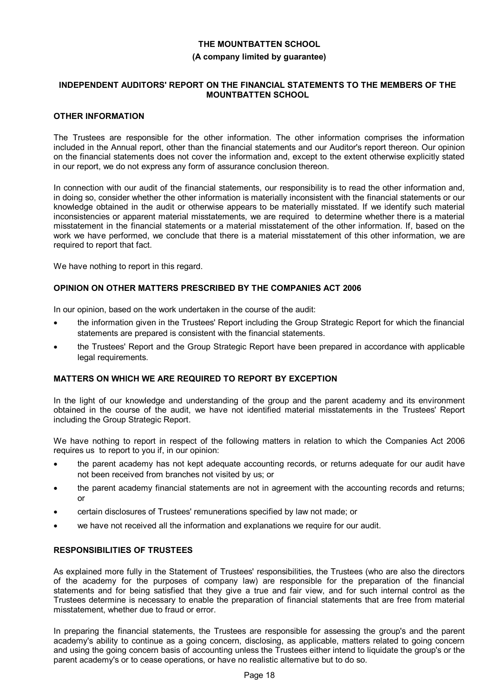#### **(A company limited by guarantee)**

## **INDEPENDENT AUDITORS' REPORT ON THE FINANCIAL STATEMENTS TO THE MEMBERS OF THE MOUNTBATTEN SCHOOL**

### **OTHER INFORMATION**

The Trustees are responsible for the other information. The other information comprises the information included in the Annual report, other than the financial statements and our Auditor's report thereon. Our opinion on the financial statements does not cover the information and, except to the extent otherwise explicitly stated in our report, we do not express any form of assurance conclusion thereon.

In connection with our audit of the financial statements, our responsibility is to read the other information and, in doing so, consider whether the other information is materially inconsistent with the financial statements or our knowledge obtained in the audit or otherwise appears to be materially misstated. If we identify such material inconsistencies or apparent material misstatements, we are required to determine whether there is a material misstatement in the financial statements or a material misstatement of the other information. If, based on the work we have performed, we conclude that there is a material misstatement of this other information, we are required to report that fact.

We have nothing to report in this regard.

# **OPINION ON OTHER MATTERS PRESCRIBED BY THE COMPANIES ACT 2006**

In our opinion, based on the work undertaken in the course of the audit:

- the information given in the Trustees' Report including the Group Strategic Report for which the financial statements are prepared is consistent with the financial statements.
- the Trustees' Report and the Group Strategic Report have been prepared in accordance with applicable legal requirements.

# **MATTERS ON WHICH WE ARE REQUIRED TO REPORT BY EXCEPTION**

In the light of our knowledge and understanding of the group and the parent academy and its environment obtained in the course of the audit, we have not identified material misstatements in the Trustees' Report including the Group Strategic Report.

We have nothing to report in respect of the following matters in relation to which the Companies Act 2006 requires us to report to you if, in our opinion:

- the parent academy has not kept adequate accounting records, or returns adequate for our audit have not been received from branches not visited by us; or
- the parent academy financial statements are not in agreement with the accounting records and returns; or
- certain disclosures of Trustees' remunerations specified by law not made; or
- we have not received all the information and explanations we require for our audit.

# **RESPONSIBILITIES OF TRUSTEES**

As explained more fully in the Statement of Trustees' responsibilities, the Trustees (who are also the directors of the academy for the purposes of company law) are responsible for the preparation of the financial statements and for being satisfied that they give a true and fair view, and for such internal control as the Trustees determine is necessary to enable the preparation of financial statements that are free from material misstatement, whether due to fraud or error.

In preparing the financial statements, the Trustees are responsible for assessing the group's and the parent academy's ability to continue as a going concern, disclosing, as applicable, matters related to going concern and using the going concern basis of accounting unless the Trustees either intend to liquidate the group's or the parent academy's or to cease operations, or have no realistic alternative but to do so.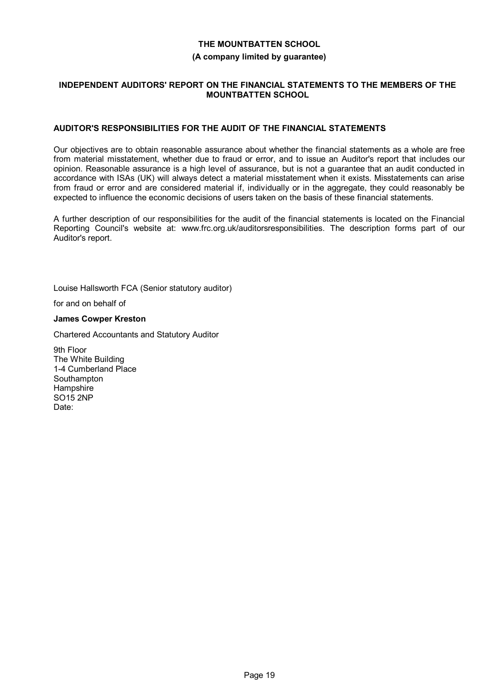#### **(A company limited by guarantee)**

## **INDEPENDENT AUDITORS' REPORT ON THE FINANCIAL STATEMENTS TO THE MEMBERS OF THE MOUNTBATTEN SCHOOL**

# **AUDITOR'S RESPONSIBILITIES FOR THE AUDIT OF THE FINANCIAL STATEMENTS**

Our objectives are to obtain reasonable assurance about whether the financial statements as a whole are free from material misstatement, whether due to fraud or error, and to issue an Auditor's report that includes our opinion. Reasonable assurance is a high level of assurance, but is not a guarantee that an audit conducted in accordance with ISAs (UK) will always detect a material misstatement when it exists. Misstatements can arise from fraud or error and are considered material if, individually or in the aggregate, they could reasonably be expected to influence the economic decisions of users taken on the basis of these financial statements.

A further description of our responsibilities for the audit of the financial statements is located on the Financial Reporting Council's website at: www.frc.org.uk/auditorsresponsibilities. The description forms part of our Auditor's report.

Louise Hallsworth FCA (Senior statutory auditor)

for and on behalf of

#### **James Cowper Kreston**

Chartered Accountants and Statutory Auditor

9th Floor The White Building 1-4 Cumberland Place **Southampton Hampshire** SO15 2NP Date: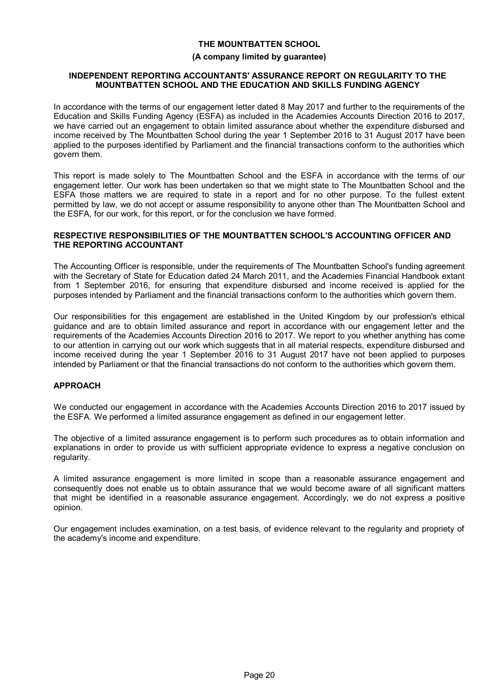### **(A company limited by guarantee)**

#### **INDEPENDENT REPORTING ACCOUNTANTS' ASSURANCE REPORT ON REGULARITY TO THE MOUNTBATTEN SCHOOL AND THE EDUCATION AND SKILLS FUNDING AGENCY**

In accordance with the terms of our engagement letter dated 8 May 2017 and further to the requirements of the Education and Skills Funding Agency (ESFA) as included in the Academies Accounts Direction 2016 to 2017, we have carried out an engagement to obtain limited assurance about whether the expenditure disbursed and income received by The Mountbatten School during the year 1 September 2016 to 31 August 2017 have been applied to the purposes identified by Parliament and the financial transactions conform to the authorities which govern them.

This report is made solely to The Mountbatten School and the ESFA in accordance with the terms of our engagement letter. Our work has been undertaken so that we might state to The Mountbatten School and the ESFA those matters we are required to state in a report and for no other purpose. To the fullest extent permitted by law, we do not accept or assume responsibility to anyone other than The Mountbatten School and the ESFA, for our work, for this report, or for the conclusion we have formed.

## **RESPECTIVE RESPONSIBILITIES OF THE MOUNTBATTEN SCHOOL'S ACCOUNTING OFFICER AND THE REPORTING ACCOUNTANT**

The Accounting Officer is responsible, under the requirements of The Mountbatten School's funding agreement with the Secretary of State for Education dated 24 March 2011, and the Academies Financial Handbook extant from 1 September 2016, for ensuring that expenditure disbursed and income received is applied for the purposes intended by Parliament and the financial transactions conform to the authorities which govern them.

Our responsibilities for this engagement are established in the United Kingdom by our profession's ethical guidance and are to obtain limited assurance and report in accordance with our engagement letter and the requirements of the Academies Accounts Direction 2016 to 2017. We report to you whether anything has come to our attention in carrying out our work which suggests that in all material respects, expenditure disbursed and income received during the year 1 September 2016 to 31 August 2017 have not been applied to purposes intended by Parliament or that the financial transactions do not conform to the authorities which govern them.

# **APPROACH**

We conducted our engagement in accordance with the Academies Accounts Direction 2016 to 2017 issued by the ESFA. We performed a limited assurance engagement as defined in our engagement letter.

The objective of a limited assurance engagement is to perform such procedures as to obtain information and explanations in order to provide us with sufficient appropriate evidence to express a negative conclusion on regularity.

A limited assurance engagement is more limited in scope than a reasonable assurance engagement and consequently does not enable us to obtain assurance that we would become aware of all significant matters that might be identified in a reasonable assurance engagement. Accordingly, we do not express a positive opinion.

Our engagement includes examination, on a test basis, of evidence relevant to the regularity and propriety of the academy's income and expenditure.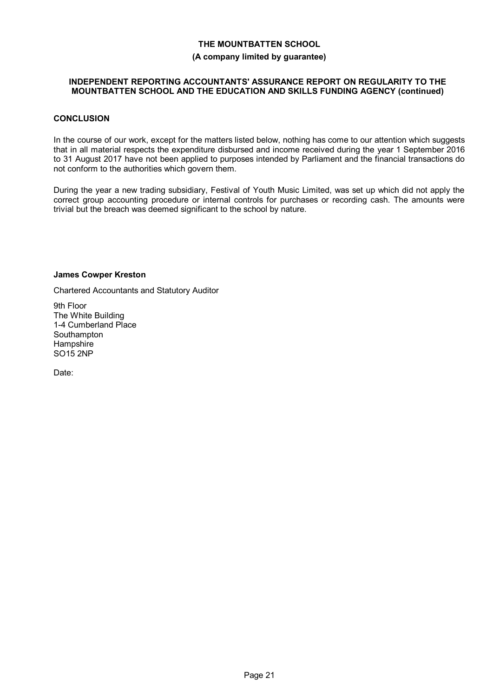#### **(A company limited by guarantee)**

## **INDEPENDENT REPORTING ACCOUNTANTS' ASSURANCE REPORT ON REGULARITY TO THE MOUNTBATTEN SCHOOL AND THE EDUCATION AND SKILLS FUNDING AGENCY (continued)**

## **CONCLUSION**

In the course of our work, except for the matters listed below, nothing has come to our attention which suggests that in all material respects the expenditure disbursed and income received during the year 1 September 2016 to 31 August 2017 have not been applied to purposes intended by Parliament and the financial transactions do not conform to the authorities which govern them.

During the year a new trading subsidiary, Festival of Youth Music Limited, was set up which did not apply the correct group accounting procedure or internal controls for purchases or recording cash. The amounts were trivial but the breach was deemed significant to the school by nature.

#### **James Cowper Kreston**

Chartered Accountants and Statutory Auditor

9th Floor The White Building 1-4 Cumberland Place **Southampton Hampshire** SO15 2NP

Date: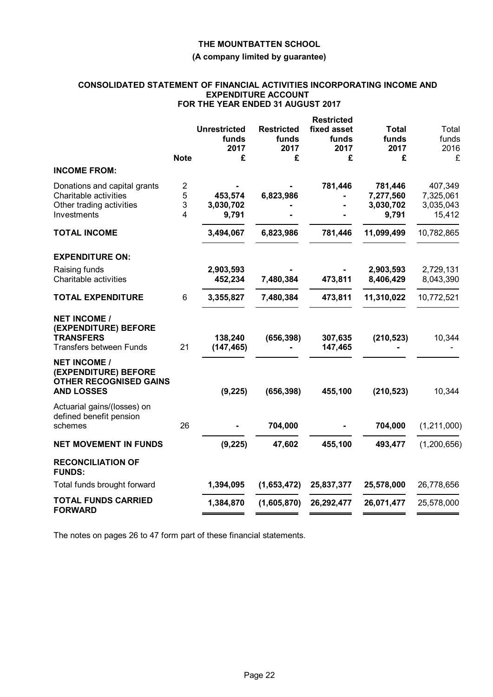## **(A company limited by guarantee)**

#### **CONSOLIDATED STATEMENT OF FINANCIAL ACTIVITIES INCORPORATING INCOME AND EXPENDITURE ACCOUNT FOR THE YEAR ENDED 31 AUGUST 2017**

|                                                                                                                                            |                                      |                                    | <b>Restricted</b>            |                                            |                                             |
|--------------------------------------------------------------------------------------------------------------------------------------------|--------------------------------------|------------------------------------|------------------------------|--------------------------------------------|---------------------------------------------|
|                                                                                                                                            | <b>Unrestricted</b><br>funds<br>2017 | <b>Restricted</b><br>funds<br>2017 | fixed asset<br>funds<br>2017 | <b>Total</b><br>funds<br>2017              | Total<br>funds<br>2016                      |
| <b>Note</b>                                                                                                                                | £                                    | £                                  | £                            | £                                          | £                                           |
| <b>INCOME FROM:</b>                                                                                                                        |                                      |                                    |                              |                                            |                                             |
| $\overline{\mathbf{c}}$<br>Donations and capital grants<br>Charitable activities<br>5<br>3<br>Other trading activities<br>Investments<br>4 | 453,574<br>3,030,702<br>9,791        | 6,823,986                          | 781,446                      | 781,446<br>7,277,560<br>3,030,702<br>9,791 | 407,349<br>7,325,061<br>3,035,043<br>15,412 |
| <b>TOTAL INCOME</b>                                                                                                                        | 3,494,067                            | 6,823,986                          | 781,446                      | 11,099,499                                 | 10,782,865                                  |
| <b>EXPENDITURE ON:</b>                                                                                                                     |                                      |                                    |                              |                                            |                                             |
| Raising funds<br>Charitable activities                                                                                                     | 2,903,593<br>452,234                 | 7,480,384                          | 473,811                      | 2,903,593<br>8,406,429                     | 2,729,131<br>8,043,390                      |
| 6<br><b>TOTAL EXPENDITURE</b>                                                                                                              | 3,355,827                            | 7,480,384                          | 473,811                      | 11,310,022                                 | 10,772,521                                  |
| <b>NET INCOME /</b><br>(EXPENDITURE) BEFORE<br><b>TRANSFERS</b><br>21<br><b>Transfers between Funds</b>                                    | 138,240<br>(147, 465)                | (656, 398)                         | 307,635<br>147,465           | (210, 523)                                 | 10,344                                      |
| <b>NET INCOME /</b><br>(EXPENDITURE) BEFORE<br><b>OTHER RECOGNISED GAINS</b><br><b>AND LOSSES</b>                                          | (9, 225)                             | (656, 398)                         | 455,100                      | (210, 523)                                 | 10,344                                      |
| Actuarial gains/(losses) on<br>defined benefit pension<br>26<br>schemes                                                                    |                                      | 704,000                            |                              | 704,000                                    | (1,211,000)                                 |
| <b>NET MOVEMENT IN FUNDS</b>                                                                                                               | (9, 225)                             | 47,602                             | 455,100                      | 493,477                                    | (1, 200, 656)                               |
| <b>RECONCILIATION OF</b><br><b>FUNDS:</b>                                                                                                  |                                      |                                    |                              |                                            |                                             |
| Total funds brought forward                                                                                                                | 1,394,095                            | (1,653,472)                        | 25,837,377                   | 25,578,000                                 | 26,778,656                                  |
| <b>TOTAL FUNDS CARRIED</b><br><b>FORWARD</b>                                                                                               | 1,384,870                            | (1,605,870)                        | 26,292,477                   | 26,071,477                                 | 25,578,000                                  |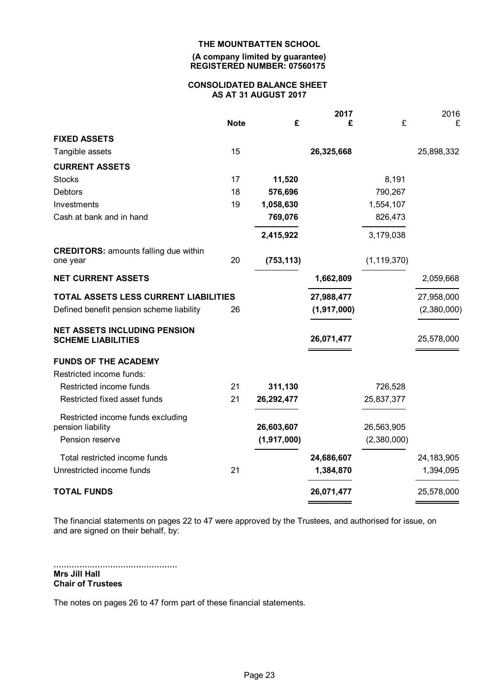#### **(A company limited by guarantee) REGISTERED NUMBER: 07560175**

#### **CONSOLIDATED BALANCE SHEET AS AT 31 AUGUST 2017**

|                                                                  |             |             | 2017        |               | 2016         |
|------------------------------------------------------------------|-------------|-------------|-------------|---------------|--------------|
|                                                                  | <b>Note</b> | £           | £           | £             | £            |
| <b>FIXED ASSETS</b>                                              |             |             |             |               |              |
| Tangible assets                                                  | 15          |             | 26,325,668  |               | 25,898,332   |
| <b>CURRENT ASSETS</b>                                            |             |             |             |               |              |
| <b>Stocks</b>                                                    | 17          | 11,520      |             | 8,191         |              |
| <b>Debtors</b>                                                   | 18          | 576,696     |             | 790,267       |              |
| Investments                                                      | 19          | 1,058,630   |             | 1,554,107     |              |
| Cash at bank and in hand                                         |             | 769,076     |             | 826,473       |              |
|                                                                  |             | 2,415,922   |             | 3,179,038     |              |
| <b>CREDITORS: amounts falling due within</b>                     |             |             |             |               |              |
| one year                                                         | 20          | (753, 113)  |             | (1, 119, 370) |              |
| <b>NET CURRENT ASSETS</b>                                        |             |             | 1,662,809   |               | 2,059,668    |
| TOTAL ASSETS LESS CURRENT LIABILITIES                            |             |             | 27,988,477  |               | 27,958,000   |
| Defined benefit pension scheme liability                         | 26          |             | (1,917,000) |               | (2,380,000)  |
| <b>NET ASSETS INCLUDING PENSION</b><br><b>SCHEME LIABILITIES</b> |             |             | 26,071,477  |               | 25,578,000   |
| <b>FUNDS OF THE ACADEMY</b>                                      |             |             |             |               |              |
| Restricted income funds:                                         |             |             |             |               |              |
| Restricted income funds                                          | 21          | 311,130     |             | 726,528       |              |
| Restricted fixed asset funds                                     | 21          | 26,292,477  |             | 25,837,377    |              |
| Restricted income funds excluding                                |             |             |             |               |              |
| pension liability                                                |             | 26,603,607  |             | 26,563,905    |              |
| Pension reserve                                                  |             | (1,917,000) |             | (2,380,000)   |              |
| Total restricted income funds                                    |             |             | 24,686,607  |               | 24, 183, 905 |
| Unrestricted income funds                                        | 21          |             | 1,384,870   |               | 1,394,095    |
| <b>TOTAL FUNDS</b>                                               |             |             | 26,071,477  |               | 25,578,000   |

The financial statements on pages 22 to 47 were approved by the Trustees, and authorised for issue, on and are signed on their behalf, by:

................................................ **Mrs Jill Hall Chair of Trustees**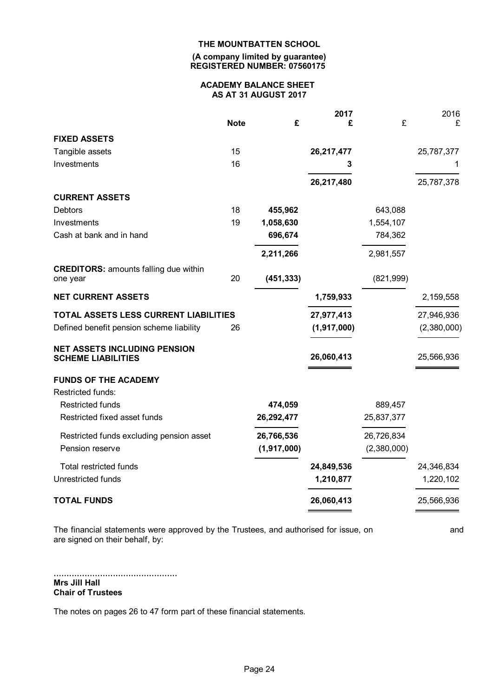#### **(A company limited by guarantee) REGISTERED NUMBER: 07560175**

# **ACADEMY BALANCE SHEET AS AT 31 AUGUST 2017**

|                                       |             | 2017        |             | 2016        |
|---------------------------------------|-------------|-------------|-------------|-------------|
| <b>Note</b>                           | £           | £           | £           | £           |
|                                       |             |             |             |             |
| 15                                    |             | 26,217,477  |             | 25,787,377  |
| 16                                    |             | 3           |             | 1           |
|                                       |             | 26,217,480  |             | 25,787,378  |
|                                       |             |             |             |             |
| 18                                    | 455,962     |             | 643,088     |             |
| 19                                    | 1,058,630   |             | 1,554,107   |             |
|                                       | 696,674     |             | 784,362     |             |
|                                       | 2,211,266   |             | 2,981,557   |             |
|                                       |             |             |             |             |
|                                       |             |             |             |             |
|                                       |             | 1,759,933   |             | 2,159,558   |
| TOTAL ASSETS LESS CURRENT LIABILITIES |             | 27,977,413  |             | 27,946,936  |
| 26                                    |             | (1,917,000) |             | (2,380,000) |
|                                       |             |             |             | 25,566,936  |
|                                       |             |             |             |             |
|                                       |             |             |             |             |
|                                       |             |             |             |             |
|                                       | 474,059     |             | 889,457     |             |
|                                       | 26,292,477  |             | 25,837,377  |             |
|                                       | 26,766,536  |             | 26,726,834  |             |
|                                       | (1,917,000) |             | (2,380,000) |             |
|                                       |             | 24,849,536  |             | 24,346,834  |
|                                       |             | 1,210,877   |             | 1,220,102   |
|                                       |             | 26,060,413  |             | 25,566,936  |
|                                       | 20          | (451, 333)  | 26,060,413  | (821, 999)  |

The financial statements were approved by the Trustees, and authorised for issue, on and and are signed on their behalf, by:

................................................ **Mrs Jill Hall Chair of Trustees**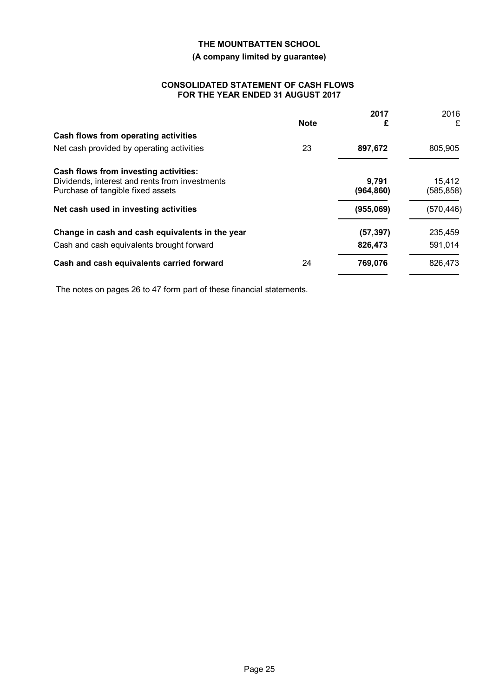# **(A company limited by guarantee)**

## **CONSOLIDATED STATEMENT OF CASH FLOWS FOR THE YEAR ENDED 31 AUGUST 2017**

|                                                                                     |             | 2017               | 2016                 |
|-------------------------------------------------------------------------------------|-------------|--------------------|----------------------|
|                                                                                     | <b>Note</b> | £                  | £                    |
| Cash flows from operating activities                                                |             |                    |                      |
| Net cash provided by operating activities                                           | 23          | 897,672            | 805,905              |
| Cash flows from investing activities:                                               |             |                    |                      |
| Dividends, interest and rents from investments<br>Purchase of tangible fixed assets |             | 9.791<br>(964,860) | 15,412<br>(585, 858) |
| Net cash used in investing activities                                               |             | (955,069)          | (570, 446)           |
| Change in cash and cash equivalents in the year                                     |             | (57, 397)          | 235,459              |
| Cash and cash equivalents brought forward                                           |             | 826,473            | 591,014              |
| Cash and cash equivalents carried forward                                           | 24          | 769,076            | 826,473              |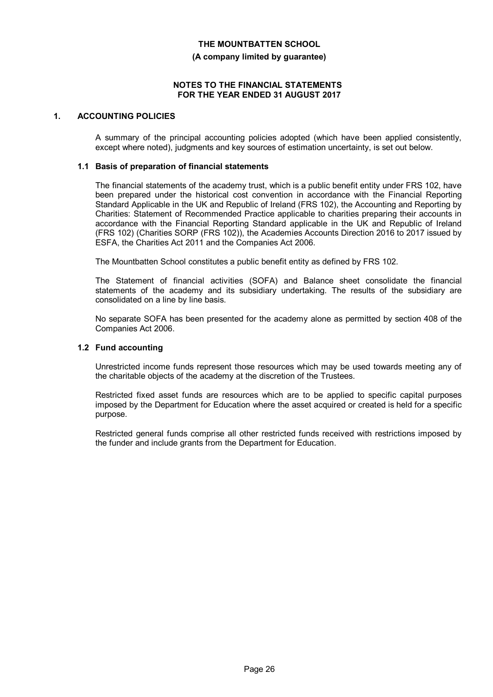#### **(A company limited by guarantee)**

### **NOTES TO THE FINANCIAL STATEMENTS FOR THE YEAR ENDED 31 AUGUST 2017**

### **1. ACCOUNTING POLICIES**

A summary of the principal accounting policies adopted (which have been applied consistently, except where noted), judgments and key sources of estimation uncertainty, is set out below.

### **1.1 Basis of preparation of financial statements**

The financial statements of the academy trust, which is a public benefit entity under FRS 102, have been prepared under the historical cost convention in accordance with the Financial Reporting Standard Applicable in the UK and Republic of Ireland (FRS 102), the Accounting and Reporting by Charities: Statement of Recommended Practice applicable to charities preparing their accounts in accordance with the Financial Reporting Standard applicable in the UK and Republic of Ireland (FRS 102) (Charities SORP (FRS 102)), the Academies Accounts Direction 2016 to 2017 issued by ESFA, the Charities Act 2011 and the Companies Act 2006.

The Mountbatten School constitutes a public benefit entity as defined by FRS 102.

The Statement of financial activities (SOFA) and Balance sheet consolidate the financial statements of the academy and its subsidiary undertaking. The results of the subsidiary are consolidated on a line by line basis.

No separate SOFA has been presented for the academy alone as permitted by section 408 of the Companies Act 2006.

### **1.2 Fund accounting**

Unrestricted income funds represent those resources which may be used towards meeting any of the charitable objects of the academy at the discretion of the Trustees.

Restricted fixed asset funds are resources which are to be applied to specific capital purposes imposed by the Department for Education where the asset acquired or created is held for a specific purpose.

Restricted general funds comprise all other restricted funds received with restrictions imposed by the funder and include grants from the Department for Education.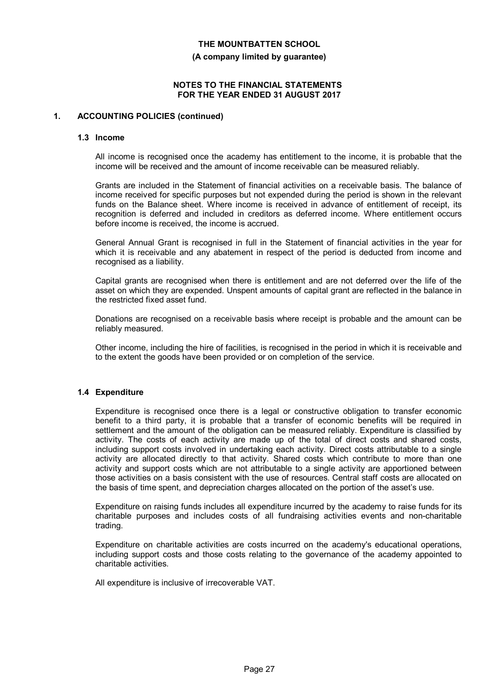#### **(A company limited by guarantee)**

## **NOTES TO THE FINANCIAL STATEMENTS FOR THE YEAR ENDED 31 AUGUST 2017**

### **1. ACCOUNTING POLICIES (continued)**

#### **1.3 Income**

All income is recognised once the academy has entitlement to the income, it is probable that the income will be received and the amount of income receivable can be measured reliably.

Grants are included in the Statement of financial activities on a receivable basis. The balance of income received for specific purposes but not expended during the period is shown in the relevant funds on the Balance sheet. Where income is received in advance of entitlement of receipt, its recognition is deferred and included in creditors as deferred income. Where entitlement occurs before income is received, the income is accrued.

General Annual Grant is recognised in full in the Statement of financial activities in the year for which it is receivable and any abatement in respect of the period is deducted from income and recognised as a liability.

Capital grants are recognised when there is entitlement and are not deferred over the life of the asset on which they are expended. Unspent amounts of capital grant are reflected in the balance in the restricted fixed asset fund.

Donations are recognised on a receivable basis where receipt is probable and the amount can be reliably measured.

Other income, including the hire of facilities, is recognised in the period in which it is receivable and to the extent the goods have been provided or on completion of the service.

# **1.4 Expenditure**

Expenditure is recognised once there is a legal or constructive obligation to transfer economic benefit to a third party, it is probable that a transfer of economic benefits will be required in settlement and the amount of the obligation can be measured reliably. Expenditure is classified by activity. The costs of each activity are made up of the total of direct costs and shared costs, including support costs involved in undertaking each activity. Direct costs attributable to a single activity are allocated directly to that activity. Shared costs which contribute to more than one activity and support costs which are not attributable to a single activity are apportioned between those activities on a basis consistent with the use of resources. Central staff costs are allocated on the basis of time spent, and depreciation charges allocated on the portion of the asset's use.

Expenditure on raising funds includes all expenditure incurred by the academy to raise funds for its charitable purposes and includes costs of all fundraising activities events and non-charitable trading.

Expenditure on charitable activities are costs incurred on the academy's educational operations, including support costs and those costs relating to the governance of the academy appointed to charitable activities.

All expenditure is inclusive of irrecoverable VAT.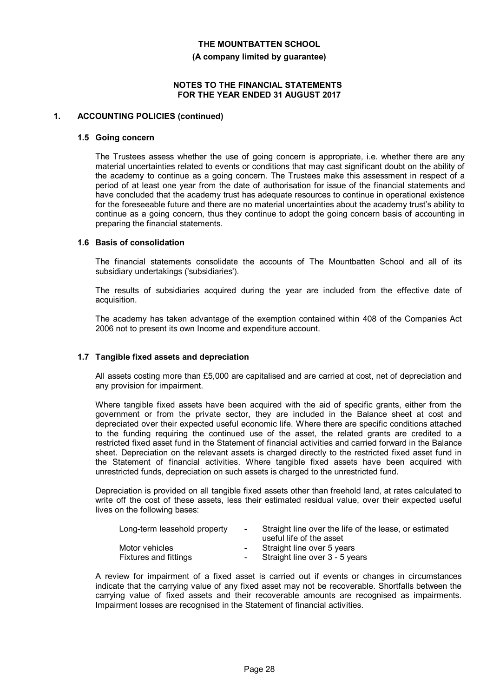**(A company limited by guarantee)**

## **NOTES TO THE FINANCIAL STATEMENTS FOR THE YEAR ENDED 31 AUGUST 2017**

### **1. ACCOUNTING POLICIES (continued)**

#### **1.5 Going concern**

The Trustees assess whether the use of going concern is appropriate, i.e. whether there are any material uncertainties related to events or conditions that may cast significant doubt on the ability of the academy to continue as a going concern. The Trustees make this assessment in respect of a period of at least one year from the date of authorisation for issue of the financial statements and have concluded that the academy trust has adequate resources to continue in operational existence for the foreseeable future and there are no material uncertainties about the academy trust's ability to continue as a going concern, thus they continue to adopt the going concern basis of accounting in preparing the financial statements.

# **1.6 Basis of consolidation**

The financial statements consolidate the accounts of The Mountbatten School and all of its subsidiary undertakings ('subsidiaries').

The results of subsidiaries acquired during the year are included from the effective date of acquisition.

The academy has taken advantage of the exemption contained within 408 of the Companies Act 2006 not to present its own Income and expenditure account.

#### **1.7 Tangible fixed assets and depreciation**

All assets costing more than £5,000 are capitalised and are carried at cost, net of depreciation and any provision for impairment.

Where tangible fixed assets have been acquired with the aid of specific grants, either from the government or from the private sector, they are included in the Balance sheet at cost and depreciated over their expected useful economic life. Where there are specific conditions attached to the funding requiring the continued use of the asset, the related grants are credited to a restricted fixed asset fund in the Statement of financial activities and carried forward in the Balance sheet. Depreciation on the relevant assets is charged directly to the restricted fixed asset fund in the Statement of financial activities. Where tangible fixed assets have been acquired with unrestricted funds, depreciation on such assets is charged to the unrestricted fund.

Depreciation is provided on all tangible fixed assets other than freehold land, at rates calculated to write off the cost of these assets, less their estimated residual value, over their expected useful lives on the following bases:

| Long-term leasehold property | $\sim$     | Straight line over the life of the lease, or estimated<br>useful life of the asset |
|------------------------------|------------|------------------------------------------------------------------------------------|
| Motor vehicles               |            | Straight line over 5 years                                                         |
| <b>Fixtures and fittings</b> | $\sim 100$ | Straight line over 3 - 5 years                                                     |

A review for impairment of a fixed asset is carried out if events or changes in circumstances indicate that the carrying value of any fixed asset may not be recoverable. Shortfalls between the carrying value of fixed assets and their recoverable amounts are recognised as impairments. Impairment losses are recognised in the Statement of financial activities.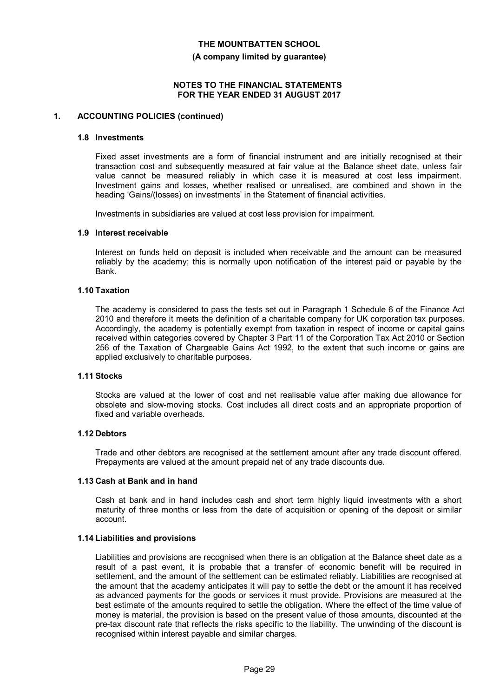**(A company limited by guarantee)**

## **NOTES TO THE FINANCIAL STATEMENTS FOR THE YEAR ENDED 31 AUGUST 2017**

### **1. ACCOUNTING POLICIES (continued)**

#### **1.8 Investments**

Fixed asset investments are a form of financial instrument and are initially recognised at their transaction cost and subsequently measured at fair value at the Balance sheet date, unless fair value cannot be measured reliably in which case it is measured at cost less impairment. Investment gains and losses, whether realised or unrealised, are combined and shown in the heading 'Gains/(losses) on investments' in the Statement of financial activities.

Investments in subsidiaries are valued at cost less provision for impairment.

#### **1.9 Interest receivable**

Interest on funds held on deposit is included when receivable and the amount can be measured reliably by the academy; this is normally upon notification of the interest paid or payable by the Bank.

#### **1.10 Taxation**

The academy is considered to pass the tests set out in Paragraph 1 Schedule 6 of the Finance Act 2010 and therefore it meets the definition of a charitable company for UK corporation tax purposes. Accordingly, the academy is potentially exempt from taxation in respect of income or capital gains received within categories covered by Chapter 3 Part 11 of the Corporation Tax Act 2010 or Section 256 of the Taxation of Chargeable Gains Act 1992, to the extent that such income or gains are applied exclusively to charitable purposes.

## **1.11 Stocks**

Stocks are valued at the lower of cost and net realisable value after making due allowance for obsolete and slow-moving stocks. Cost includes all direct costs and an appropriate proportion of fixed and variable overheads.

## **1.12 Debtors**

Trade and other debtors are recognised at the settlement amount after any trade discount offered. Prepayments are valued at the amount prepaid net of any trade discounts due.

#### **1.13 Cash at Bank and in hand**

Cash at bank and in hand includes cash and short term highly liquid investments with a short maturity of three months or less from the date of acquisition or opening of the deposit or similar account.

#### **1.14 Liabilities and provisions**

Liabilities and provisions are recognised when there is an obligation at the Balance sheet date as a result of a past event, it is probable that a transfer of economic benefit will be required in settlement, and the amount of the settlement can be estimated reliably. Liabilities are recognised at the amount that the academy anticipates it will pay to settle the debt or the amount it has received as advanced payments for the goods or services it must provide. Provisions are measured at the best estimate of the amounts required to settle the obligation. Where the effect of the time value of money is material, the provision is based on the present value of those amounts, discounted at the pre-tax discount rate that reflects the risks specific to the liability. The unwinding of the discount is recognised within interest payable and similar charges.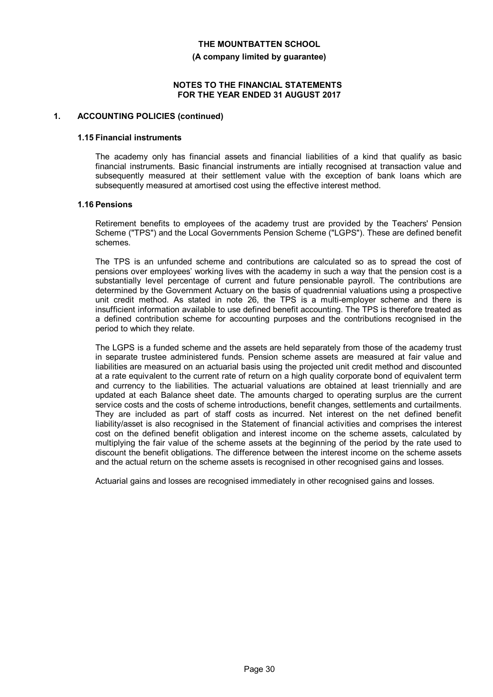**(A company limited by guarantee)**

## **NOTES TO THE FINANCIAL STATEMENTS FOR THE YEAR ENDED 31 AUGUST 2017**

#### **1. ACCOUNTING POLICIES (continued)**

#### **1.15 Financial instruments**

The academy only has financial assets and financial liabilities of a kind that qualify as basic financial instruments. Basic financial instruments are intially recognised at transaction value and subsequently measured at their settlement value with the exception of bank loans which are subsequently measured at amortised cost using the effective interest method.

### **1.16 Pensions**

Retirement benefits to employees of the academy trust are provided by the Teachers' Pension Scheme ("TPS") and the Local Governments Pension Scheme ("LGPS"). These are defined benefit schemes.

The TPS is an unfunded scheme and contributions are calculated so as to spread the cost of pensions over employees' working lives with the academy in such a way that the pension cost is a substantially level percentage of current and future pensionable payroll. The contributions are determined by the Government Actuary on the basis of quadrennial valuations using a prospective unit credit method. As stated in note 26, the TPS is a multi-employer scheme and there is insufficient information available to use defined benefit accounting. The TPS is therefore treated as a defined contribution scheme for accounting purposes and the contributions recognised in the period to which they relate.

The LGPS is a funded scheme and the assets are held separately from those of the academy trust in separate trustee administered funds. Pension scheme assets are measured at fair value and liabilities are measured on an actuarial basis using the projected unit credit method and discounted at a rate equivalent to the current rate of return on a high quality corporate bond of equivalent term and currency to the liabilities. The actuarial valuations are obtained at least triennially and are updated at each Balance sheet date. The amounts charged to operating surplus are the current service costs and the costs of scheme introductions, benefit changes, settlements and curtailments. They are included as part of staff costs as incurred. Net interest on the net defined benefit liability/asset is also recognised in the Statement of financial activities and comprises the interest cost on the defined benefit obligation and interest income on the scheme assets, calculated by multiplying the fair value of the scheme assets at the beginning of the period by the rate used to discount the benefit obligations. The difference between the interest income on the scheme assets and the actual return on the scheme assets is recognised in other recognised gains and losses.

Actuarial gains and losses are recognised immediately in other recognised gains and losses.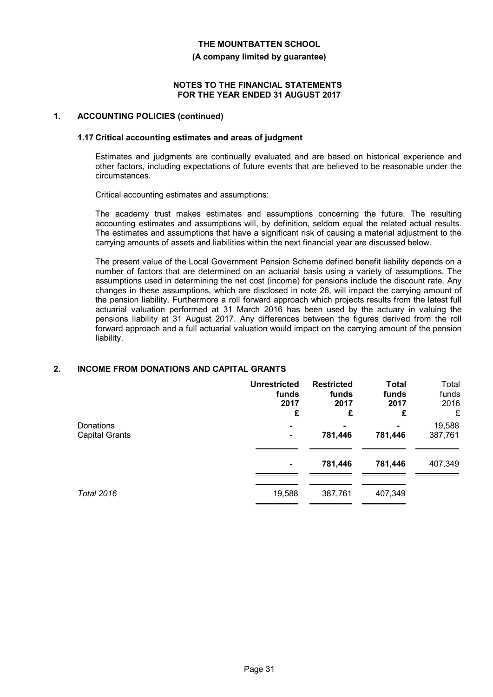**(A company limited by guarantee)**

## **NOTES TO THE FINANCIAL STATEMENTS FOR THE YEAR ENDED 31 AUGUST 2017**

### **1. ACCOUNTING POLICIES (continued)**

#### **1.17 Critical accounting estimates and areas of judgment**

Estimates and judgments are continually evaluated and are based on historical experience and other factors, including expectations of future events that are believed to be reasonable under the circumstances.

Critical accounting estimates and assumptions:

The academy trust makes estimates and assumptions concerning the future. The resulting accounting estimates and assumptions will, by definition, seldom equal the related actual results. The estimates and assumptions that have a significant risk of causing a material adjustment to the carrying amounts of assets and liabilities within the next financial year are discussed below.

The present value of the Local Government Pension Scheme defined benefit liability depends on a number of factors that are determined on an actuarial basis using a variety of assumptions. The assumptions used in determining the net cost (income) for pensions include the discount rate. Any changes in these assumptions, which are disclosed in note 26, will impact the carrying amount of the pension liability. Furthermore a roll forward approach which projects results from the latest full actuarial valuation performed at 31 March 2016 has been used by the actuary in valuing the pensions liability at 31 August 2017. Any differences between the figures derived from the roll forward approach and a full actuarial valuation would impact on the carrying amount of the pension liability.

# **2. INCOME FROM DONATIONS AND CAPITAL GRANTS**

|                       | <b>Unrestricted</b> | <b>Restricted</b> | <b>Total</b> | Total   |
|-----------------------|---------------------|-------------------|--------------|---------|
|                       | funds               | funds             | funds        | funds   |
|                       | 2017                | 2017              | 2017         | 2016    |
|                       | £                   | £                 | £            | £       |
| Donations             |                     |                   | 781,446      | 19,588  |
| <b>Capital Grants</b> |                     | 781,446           |              | 387,761 |
|                       |                     | 781,446           | 781,446      | 407,349 |
| <b>Total 2016</b>     | 19,588              | 387,761           | 407,349      |         |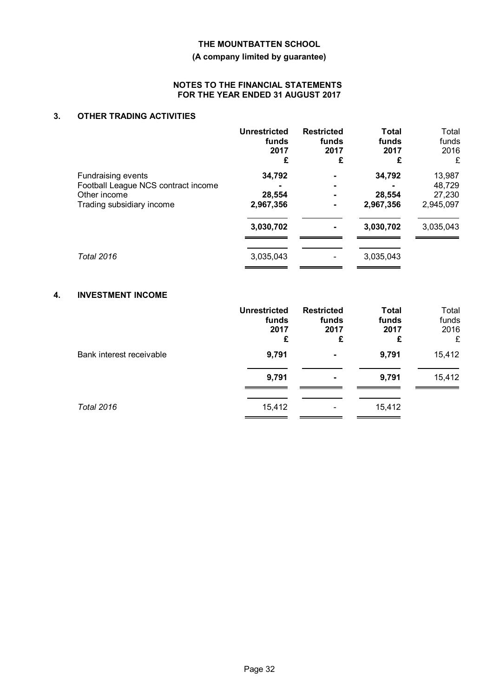# **(A company limited by guarantee)**

## **NOTES TO THE FINANCIAL STATEMENTS FOR THE YEAR ENDED 31 AUGUST 2017**

# **3. OTHER TRADING ACTIVITIES**

|                                                           | <b>Unrestricted</b><br>funds<br>2017<br>£ | <b>Restricted</b><br>funds<br>2017<br>£ | <b>Total</b><br>funds<br>2017<br>£ | Total<br>funds<br>2016<br>£ |
|-----------------------------------------------------------|-------------------------------------------|-----------------------------------------|------------------------------------|-----------------------------|
| Fundraising events<br>Football League NCS contract income | 34,792                                    | $\blacksquare$                          | 34,792                             | 13,987<br>48,729            |
| Other income<br>Trading subsidiary income                 | 28,554<br>2,967,356                       | ۰<br>۰<br>۰                             | 28,554<br>2,967,356                | 27,230<br>2,945,097         |
|                                                           | 3,030,702                                 | ۰                                       | 3,030,702                          | 3,035,043                   |
| <b>Total 2016</b>                                         | 3,035,043                                 |                                         | 3,035,043                          |                             |

# **4. INVESTMENT INCOME**

|                          | <b>Unrestricted</b><br>funds<br>2017<br>£ | <b>Restricted</b><br>funds<br>2017<br>£ | <b>Total</b><br>funds<br>2017<br>£ | Total<br>funds<br>2016<br>£ |
|--------------------------|-------------------------------------------|-----------------------------------------|------------------------------------|-----------------------------|
| Bank interest receivable | 9,791                                     | ۰                                       | 9,791                              | 15,412                      |
|                          | 9,791                                     | ۰                                       | 9,791                              | 15,412                      |
| <b>Total 2016</b>        | 15,412                                    | -                                       | 15,412                             |                             |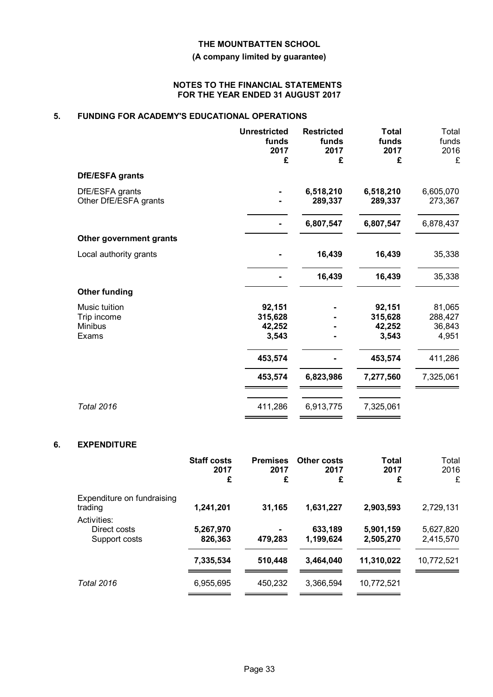# **(A company limited by guarantee)**

## **NOTES TO THE FINANCIAL STATEMENTS FOR THE YEAR ENDED 31 AUGUST 2017**

# **5. FUNDING FOR ACADEMY'S EDUCATIONAL OPERATIONS**

|                                                  | <b>Unrestricted</b><br>funds<br>2017<br>£ | <b>Restricted</b><br>funds<br>2017<br>£ | <b>Total</b><br>funds<br>2017<br>£   | Total<br>funds<br>2016<br>£          |
|--------------------------------------------------|-------------------------------------------|-----------------------------------------|--------------------------------------|--------------------------------------|
| DfE/ESFA grants                                  |                                           |                                         |                                      |                                      |
| DfE/ESFA grants<br>Other DfE/ESFA grants         |                                           | 6,518,210<br>289,337                    | 6,518,210<br>289,337                 | 6,605,070<br>273,367                 |
|                                                  |                                           | 6,807,547                               | 6,807,547                            | 6,878,437                            |
| Other government grants                          |                                           |                                         |                                      |                                      |
| Local authority grants                           |                                           | 16,439                                  | 16,439                               | 35,338                               |
|                                                  |                                           | 16,439                                  | 16,439                               | 35,338                               |
| <b>Other funding</b>                             |                                           |                                         |                                      |                                      |
| Music tuition<br>Trip income<br>Minibus<br>Exams | 92,151<br>315,628<br>42,252<br>3,543      |                                         | 92,151<br>315,628<br>42,252<br>3,543 | 81,065<br>288,427<br>36,843<br>4,951 |
|                                                  | 453,574                                   |                                         | 453,574                              | 411,286                              |
|                                                  | 453,574                                   | 6,823,986                               | 7,277,560                            | 7,325,061                            |
| <b>Total 2016</b>                                | 411,286                                   | 6,913,775                               | 7,325,061                            |                                      |

# **6. EXPENDITURE**

|                                              | <b>Staff costs</b><br>2017<br>£ | <b>Premises</b><br>2017<br>£ | Other costs<br>2017<br>£ | <b>Total</b><br>2017<br>£ | Total<br>2016<br>£     |
|----------------------------------------------|---------------------------------|------------------------------|--------------------------|---------------------------|------------------------|
| Expenditure on fundraising<br>trading        | 1,241,201                       | 31,165                       | 1,631,227                | 2,903,593                 | 2,729,131              |
| Activities:<br>Direct costs<br>Support costs | 5,267,970<br>826,363            | 479,283                      | 633,189<br>1,199,624     | 5,901,159<br>2,505,270    | 5,627,820<br>2,415,570 |
|                                              | 7,335,534                       | 510,448                      | 3,464,040                | 11,310,022                | 10,772,521             |
| <b>Total 2016</b>                            | 6,955,695                       | 450,232                      | 3,366,594                | 10,772,521                |                        |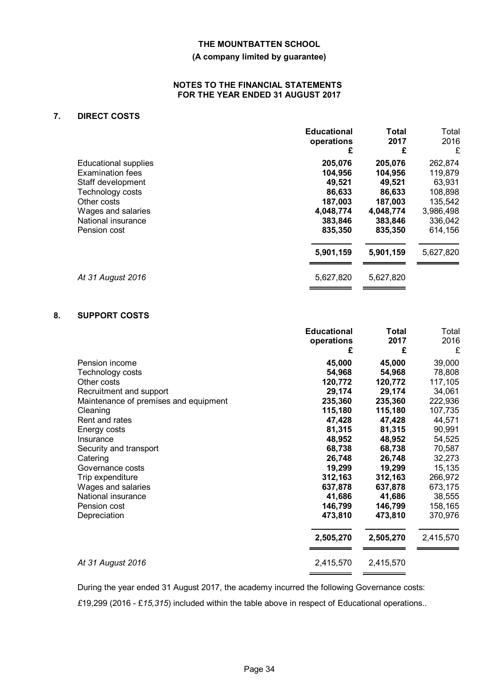# **(A company limited by guarantee)**

## **NOTES TO THE FINANCIAL STATEMENTS FOR THE YEAR ENDED 31 AUGUST 2017**

# **7. DIRECT COSTS**

|                             | <b>Educational</b> | <b>Total</b> | Total     |
|-----------------------------|--------------------|--------------|-----------|
|                             | operations         | 2017         | 2016      |
| <b>Educational supplies</b> | £                  | £            | £         |
|                             | 205,076            | 205,076      | 262,874   |
| <b>Examination fees</b>     | 104,956            | 104,956      | 119,879   |
| Staff development           | 49,521             | 49,521       | 63,931    |
| Technology costs            | 86,633             | 86,633       | 108,898   |
| Other costs                 | 187,003            | 187,003      | 135,542   |
| Wages and salaries          | 4,048,774          | 4,048,774    | 3,986,498 |
| National insurance          | 383,846            | 383,846      | 336,042   |
| Pension cost                | 835,350            | 835,350      | 614,156   |
|                             | 5,901,159          | 5,901,159    | 5,627,820 |
| At 31 August 2016           | 5,627,820          | 5,627,820    |           |

# **8. SUPPORT COSTS**

|                                       | <b>Educational</b><br>operations<br>£ | Total<br>2017<br>£ | Total<br>2016<br>£ |
|---------------------------------------|---------------------------------------|--------------------|--------------------|
| Pension income                        | 45,000                                | 45,000             | 39,000             |
| Technology costs                      | 54,968                                | 54,968             | 78,808             |
| Other costs                           | 120,772                               | 120,772            | 117,105            |
| Recruitment and support               | 29,174                                | 29,174             | 34,061             |
| Maintenance of premises and equipment | 235,360                               | 235,360            | 222,936            |
| Cleaning                              | 115,180                               | 115,180            | 107,735            |
| Rent and rates                        | 47,428                                | 47,428             | 44,571             |
| Energy costs                          | 81,315                                | 81,315             | 90,991             |
| Insurance                             | 48,952                                | 48,952             | 54,525             |
| Security and transport                | 68,738                                | 68,738             | 70,587             |
| Catering                              | 26,748                                | 26,748             | 32,273             |
| Governance costs                      | 19,299                                | 19,299             | 15,135             |
| Trip expenditure                      | 312,163                               | 312,163            | 266,972            |
| Wages and salaries                    | 637,878                               | 637,878            | 673,175            |
| National insurance                    | 41,686                                | 41,686             | 38,555             |
| Pension cost                          | 146,799                               | 146,799            | 158,165            |
| Depreciation                          | 473,810                               | 473,810            | 370,976            |
|                                       | 2,505,270                             | 2,505,270          | 2,415,570          |
| At 31 August 2016                     | 2,415,570                             | 2,415,570          |                    |
|                                       |                                       |                    |                    |

During the year ended 31 August 2017, the academy incurred the following Governance costs:

*£*19,299 (2016 - £*15,315*) included within the table above in respect of Educational operations..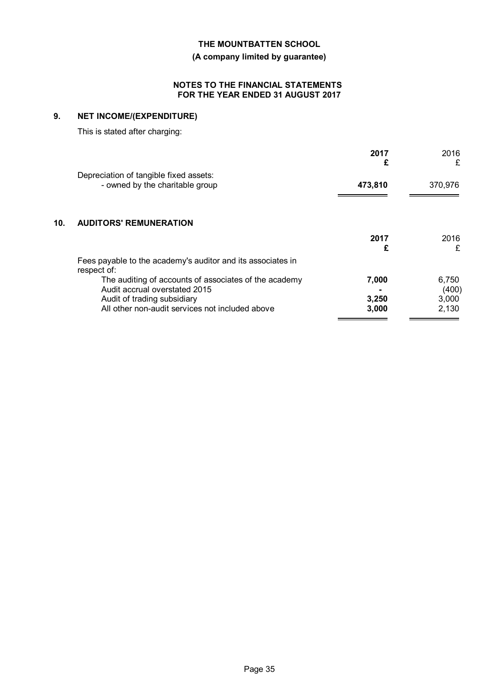**(A company limited by guarantee)**

# **NOTES TO THE FINANCIAL STATEMENTS FOR THE YEAR ENDED 31 AUGUST 2017**

# **9. NET INCOME/(EXPENDITURE)**

This is stated after charging:

|     |                                                                                        | 2017<br>£      | 2016<br>£      |
|-----|----------------------------------------------------------------------------------------|----------------|----------------|
|     | Depreciation of tangible fixed assets:<br>- owned by the charitable group              | 473,810        | 370,976        |
| 10. | <b>AUDITORS' REMUNERATION</b>                                                          |                |                |
|     |                                                                                        | 2017<br>£      | 2016<br>£      |
|     | Fees payable to the academy's auditor and its associates in<br>respect of:             |                |                |
|     | The auditing of accounts of associates of the academy<br>Audit accrual overstated 2015 | 7,000          | 6,750<br>(400) |
|     | Audit of trading subsidiary<br>All other non-audit services not included above         | 3,250<br>3,000 | 3,000<br>2,130 |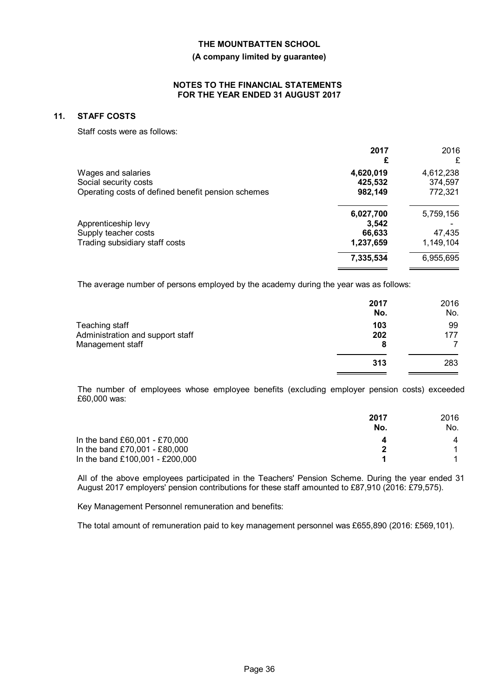#### **(A company limited by guarantee)**

### **NOTES TO THE FINANCIAL STATEMENTS FOR THE YEAR ENDED 31 AUGUST 2017**

### **11. STAFF COSTS**

Staff costs were as follows:

|                                                                             | 2017<br>£          | 2016<br>£          |
|-----------------------------------------------------------------------------|--------------------|--------------------|
| Wages and salaries                                                          | 4,620,019          | 4,612,238          |
| Social security costs<br>Operating costs of defined benefit pension schemes | 425,532<br>982,149 | 374,597<br>772,321 |
|                                                                             | 6,027,700          | 5,759,156          |
| Apprenticeship levy                                                         | 3.542              |                    |
| Supply teacher costs                                                        | 66,633             | 47,435             |
| Trading subsidiary staff costs                                              | 1,237,659          | 1,149,104          |
|                                                                             | 7,335,534          | 6,955,695          |

The average number of persons employed by the academy during the year was as follows:

|                                                    | 2017<br>No. | 2016<br>No. |
|----------------------------------------------------|-------------|-------------|
| Teaching staff<br>Administration and support staff | 103<br>202  | 99<br>177   |
| Management staff                                   | 8<br>313    | 283         |
|                                                    |             |             |

The number of employees whose employee benefits (excluding employer pension costs) exceeded £60,000 was:

|                                 | 2017 | 2016 |
|---------------------------------|------|------|
|                                 | No.  | No.  |
| In the band £60,001 - £70,000   |      | 4    |
| In the band £70,001 - £80,000   | 2    |      |
| In the band £100,001 - £200,000 |      |      |

All of the above employees participated in the Teachers' Pension Scheme. During the year ended 31 August 2017 employers' pension contributions for these staff amounted to £87,910 (2016: £79,575).

Key Management Personnel remuneration and benefits:

The total amount of remuneration paid to key management personnel was £655,890 (2016: £569,101).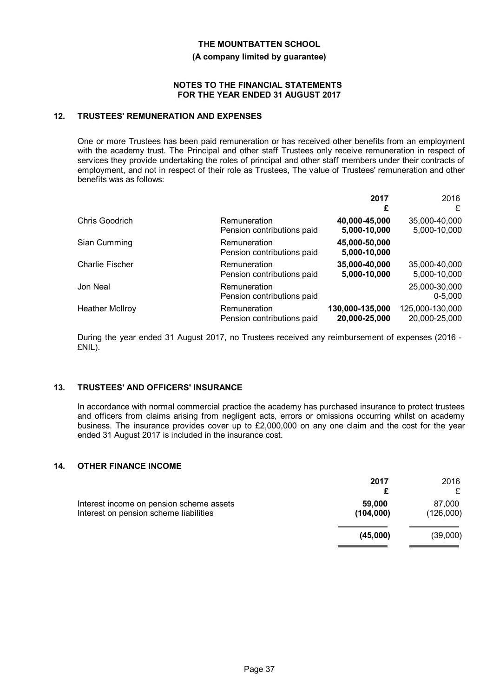#### **(A company limited by guarantee)**

## **NOTES TO THE FINANCIAL STATEMENTS FOR THE YEAR ENDED 31 AUGUST 2017**

## **12. TRUSTEES' REMUNERATION AND EXPENSES**

One or more Trustees has been paid remuneration or has received other benefits from an employment with the academy trust. The Principal and other staff Trustees only receive remuneration in respect of services they provide undertaking the roles of principal and other staff members under their contracts of employment, and not in respect of their role as Trustees, The value of Trustees' remuneration and other benefits was as follows:

|                        |                                            | 2017<br>£                     | 2016<br>£                    |
|------------------------|--------------------------------------------|-------------------------------|------------------------------|
| Chris Goodrich         | Remuneration                               | 40,000-45,000                 | 35,000-40,000                |
|                        | Pension contributions paid                 | 5,000-10,000                  | 5,000-10,000                 |
| Sian Cumming           | Remuneration<br>Pension contributions paid | 45,000-50,000<br>5,000-10,000 |                              |
| <b>Charlie Fischer</b> | Remuneration                               | 35,000-40,000                 | 35,000-40,000                |
|                        | Pension contributions paid                 | 5,000-10,000                  | 5,000-10,000                 |
| Jon Neal               | Remuneration<br>Pension contributions paid |                               | 25,000-30,000<br>$0 - 5.000$ |
| <b>Heather McIlroy</b> | Remuneration                               | 130,000-135,000               | 125,000-130,000              |
|                        | Pension contributions paid                 | 20,000-25,000                 | 20,000-25,000                |

During the year ended 31 August 2017, no Trustees received any reimbursement of expenses (2016 - £NIL).

# **13. TRUSTEES' AND OFFICERS' INSURANCE**

In accordance with normal commercial practice the academy has purchased insurance to protect trustees and officers from claims arising from negligent acts, errors or omissions occurring whilst on academy business. The insurance provides cover up to £2,000,000 on any one claim and the cost for the year ended 31 August 2017 is included in the insurance cost.

# **14. OTHER FINANCE INCOME**

|                                                                                    | 2017<br>£           | 2016                |
|------------------------------------------------------------------------------------|---------------------|---------------------|
| Interest income on pension scheme assets<br>Interest on pension scheme liabilities | 59,000<br>(104,000) | 87,000<br>(126,000) |
|                                                                                    | (45,000)            | (39,000)            |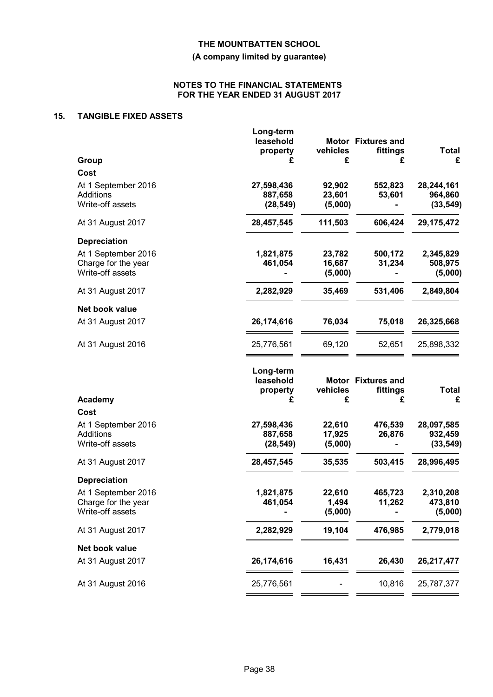# **(A company limited by guarantee)**

## **NOTES TO THE FINANCIAL STATEMENTS FOR THE YEAR ENDED 31 AUGUST 2017**

# **15. TANGIBLE FIXED ASSETS**

|                                                                | Long-term<br>leasehold<br>property      | vehicles                    | Motor Fixtures and<br>fittings      | <b>Total</b>                       |
|----------------------------------------------------------------|-----------------------------------------|-----------------------------|-------------------------------------|------------------------------------|
| Group                                                          | £                                       | £                           | £                                   | £                                  |
| Cost                                                           |                                         |                             |                                     |                                    |
| At 1 September 2016<br>Additions<br>Write-off assets           | 27,598,436<br>887,658<br>(28, 549)      | 92,902<br>23,601<br>(5,000) | 552,823<br>53,601                   | 28,244,161<br>964,860<br>(33, 549) |
| At 31 August 2017                                              | 28,457,545                              | 111,503                     | 606,424                             | 29, 175, 472                       |
| <b>Depreciation</b>                                            |                                         |                             |                                     |                                    |
| At 1 September 2016<br>Charge for the year<br>Write-off assets | 1,821,875<br>461,054                    | 23,782<br>16,687<br>(5,000) | 500,172<br>31,234                   | 2,345,829<br>508,975<br>(5,000)    |
| At 31 August 2017                                              | 2,282,929                               | 35,469                      | 531,406                             | 2,849,804                          |
| Net book value                                                 |                                         |                             |                                     |                                    |
| At 31 August 2017                                              | 26,174,616                              | 76,034                      | 75,018                              | 26,325,668                         |
| At 31 August 2016                                              | 25,776,561                              | 69,120                      | 52,651                              | 25,898,332                         |
| <b>Academy</b>                                                 | Long-term<br>leasehold<br>property<br>£ | vehicles<br>£               | Motor Fixtures and<br>fittings<br>£ | <b>Total</b><br>£                  |
| Cost                                                           |                                         |                             |                                     |                                    |
| At 1 September 2016<br>Additions                               | 27,598,436<br>887,658                   | 22,610<br>17,925            | 476,539<br>26,876                   | 28,097,585                         |
| Write-off assets                                               | (28, 549)                               | (5,000)                     |                                     | 932,459<br>(33, 549)               |
| At 31 August 2017                                              | 28,457,545                              | 35,535                      | 503,415                             | 28,996,495                         |
| <b>Depreciation</b>                                            |                                         |                             |                                     |                                    |
| At 1 September 2016                                            | 1,821,875                               | 22,610                      | 465,723                             | 2,310,208                          |
| Charge for the year                                            | 461,054                                 | 1,494                       | 11,262                              | 473,810                            |
| Write-off assets                                               |                                         | (5,000)                     |                                     | (5,000)                            |
| At 31 August 2017                                              | 2,282,929                               | 19,104                      | 476,985                             | 2,779,018                          |
| Net book value                                                 |                                         |                             |                                     |                                    |
| At 31 August 2017                                              | 26,174,616                              | 16,431                      | 26,430                              | 26,217,477                         |
| At 31 August 2016                                              | 25,776,561                              |                             | 10,816                              | 25,787,377                         |
|                                                                |                                         |                             |                                     |                                    |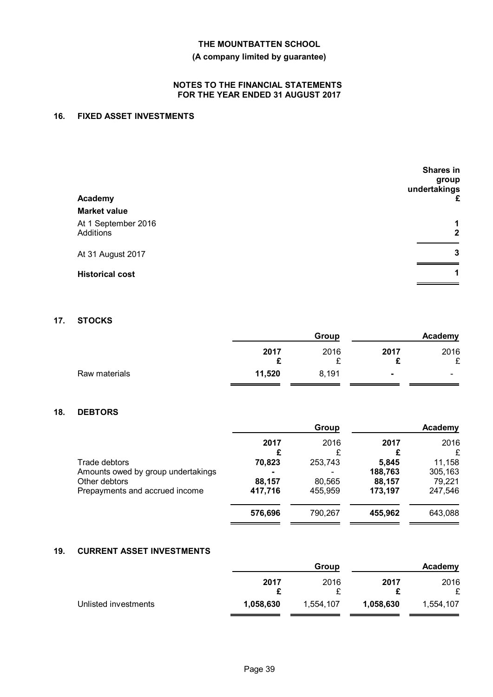# **(A company limited by guarantee)**

# **NOTES TO THE FINANCIAL STATEMENTS FOR THE YEAR ENDED 31 AUGUST 2017**

# **16. FIXED ASSET INVESTMENTS**

| Academy                                                 | <b>Shares in</b><br>group<br>undertakings<br>£ |
|---------------------------------------------------------|------------------------------------------------|
| <b>Market value</b><br>At 1 September 2016<br>Additions | 1<br>$\mathbf{2}$                              |
| At 31 August 2017                                       | 3                                              |
| <b>Historical cost</b>                                  | 1                                              |

## **17. STOCKS**

|               |        | Group |           | Academy                  |
|---------------|--------|-------|-----------|--------------------------|
|               | 2017   | 2016  | 2017<br>◠ | 2016<br>¢                |
|               | £      |       |           |                          |
| Raw materials | 11,520 | 8,191 | ۰         | $\overline{\phantom{0}}$ |

# **18. DEBTORS**

|                                    |                | Group   |           | Academy   |
|------------------------------------|----------------|---------|-----------|-----------|
|                                    | 2017           | 2016    | 2017<br>£ | 2016<br>£ |
| Trade debtors                      | 70,823         | 253,743 | 5,845     | 11,158    |
| Amounts owed by group undertakings | $\blacksquare$ |         | 188,763   | 305,163   |
| Other debtors                      | 88,157         | 80,565  | 88,157    | 79,221    |
| Prepayments and accrued income     | 417,716        | 455,959 | 173,197   | 247,546   |
|                                    | 576,696        | 790,267 | 455,962   | 643,088   |
|                                    |                |         |           |           |

# **19. CURRENT ASSET INVESTMENTS**

|                      |           | Group     |           | Academy   |
|----------------------|-----------|-----------|-----------|-----------|
|                      | 2017      | 2016      | 2017      | 2016<br>£ |
| Unlisted investments | 1,058,630 | 1,554,107 | 1,058,630 | 1,554,107 |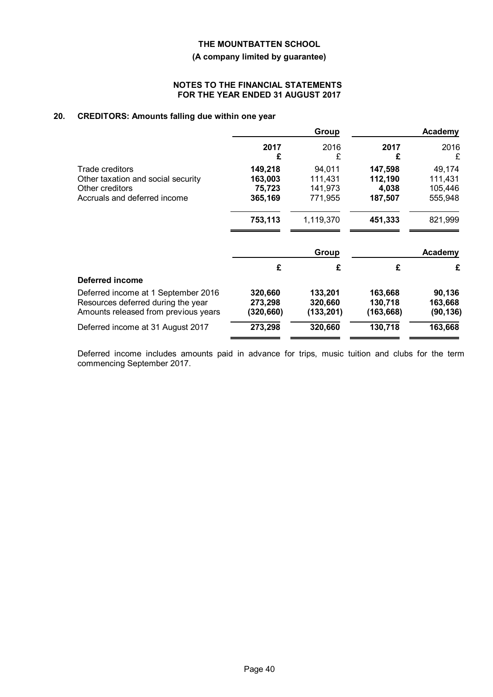# **(A company limited by guarantee)**

## **NOTES TO THE FINANCIAL STATEMENTS FOR THE YEAR ENDED 31 AUGUST 2017**

# **20. CREDITORS: Amounts falling due within one year**

|                                      |           | Group     |            | Academy   |
|--------------------------------------|-----------|-----------|------------|-----------|
|                                      | 2017<br>£ | 2016<br>£ | 2017<br>£  | 2016<br>£ |
| Trade creditors                      | 149,218   | 94,011    | 147,598    | 49,174    |
| Other taxation and social security   | 163,003   | 111,431   | 112,190    | 111,431   |
| Other creditors                      | 75,723    | 141,973   | 4,038      | 105,446   |
| Accruals and deferred income         | 365,169   | 771,955   | 187,507    | 555,948   |
|                                      | 753,113   | 1,119,370 | 451,333    | 821,999   |
|                                      |           | Group     |            | Academy   |
|                                      | £         | £         | £          | £         |
| Deferred income                      |           |           |            |           |
| Deferred income at 1 September 2016  | 320,660   | 133,201   | 163,668    | 90,136    |
| Resources deferred during the year   | 273,298   | 320,660   | 130,718    | 163,668   |
| Amounts released from previous years | (320,660) | (133,201) | (163, 668) | (90, 136) |
| Deferred income at 31 August 2017    | 273,298   | 320,660   | 130,718    | 163,668   |
|                                      |           |           |            |           |

Deferred income includes amounts paid in advance for trips, music tuition and clubs for the term commencing September 2017.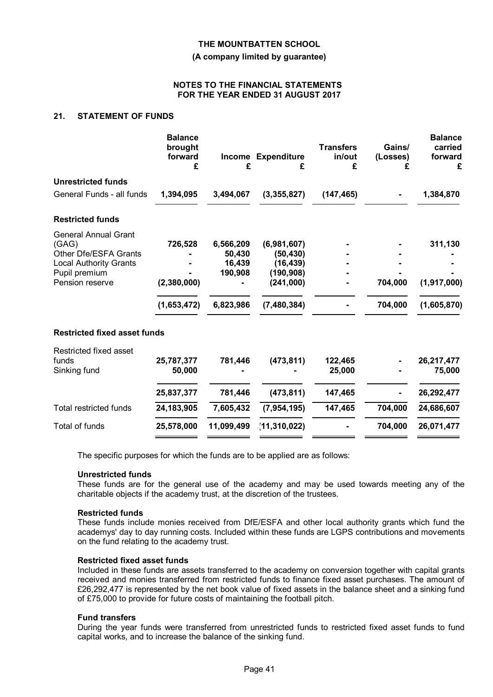**(A company limited by guarantee)**

### **NOTES TO THE FINANCIAL STATEMENTS FOR THE YEAR ENDED 31 AUGUST 2017**

## **21. STATEMENT OF FUNDS**

|                                     | <b>Balance</b><br>brought<br>forward<br>£ | £          | <b>Income Expenditure</b><br>£ | <b>Transfers</b><br>in/out<br>£ | Gains/<br>(Losses)<br>£ | <b>Balance</b><br>carried<br>forward<br>£ |
|-------------------------------------|-------------------------------------------|------------|--------------------------------|---------------------------------|-------------------------|-------------------------------------------|
| <b>Unrestricted funds</b>           |                                           |            |                                |                                 |                         |                                           |
| General Funds - all funds           | 1,394,095                                 | 3,494,067  | (3,355,827)                    | (147, 465)                      |                         | 1,384,870                                 |
| <b>Restricted funds</b>             |                                           |            |                                |                                 |                         |                                           |
| <b>General Annual Grant</b>         |                                           |            |                                |                                 |                         |                                           |
| (GAG)                               | 726,528                                   | 6,566,209  | (6,981,607)                    |                                 |                         | 311,130                                   |
| Other Dfe/ESFA Grants               |                                           | 50,430     | (50, 430)                      |                                 |                         |                                           |
| <b>Local Authority Grants</b>       |                                           | 16,439     | (16, 439)                      |                                 |                         |                                           |
| Pupil premium                       |                                           | 190,908    | (190, 908)                     |                                 |                         |                                           |
| Pension reserve                     | (2,380,000)                               |            | (241,000)                      |                                 | 704,000                 | (1,917,000)                               |
|                                     | (1,653,472)                               | 6,823,986  | (7, 480, 384)                  |                                 | 704,000                 | (1,605,870)                               |
| <b>Restricted fixed asset funds</b> |                                           |            |                                |                                 |                         |                                           |
| Restricted fixed asset              |                                           |            |                                |                                 |                         |                                           |
| funds                               | 25,787,377                                | 781,446    | (473, 811)                     | 122,465                         |                         | 26,217,477                                |
| Sinking fund                        | 50,000                                    |            |                                | 25,000                          |                         | 75,000                                    |
|                                     | 25,837,377                                | 781,446    | (473, 811)                     | 147,465                         |                         | 26,292,477                                |
| Total restricted funds              | 24, 183, 905                              | 7,605,432  | (7, 954, 195)                  | 147,465                         | 704,000                 | 24,686,607                                |
| Total of funds                      | 25,578,000                                | 11,099,499 | (11, 310, 022)                 |                                 | 704,000                 | 26,071,477                                |
|                                     |                                           |            |                                |                                 |                         |                                           |

The specific purposes for which the funds are to be applied are as follows:

#### **Unrestricted funds**

These funds are for the general use of the academy and may be used towards meeting any of the charitable objects if the academy trust, at the discretion of the trustees.

#### **Restricted funds**

These funds include monies received from DfE/ESFA and other local authority grants which fund the academys' day to day running costs. Included within these funds are LGPS contributions and movements on the fund relating to the academy trust.

# **Restricted fixed asset funds**

Included in these funds are assets transferred to the academy on conversion together with capital grants received and monies transferred from restricted funds to finance fixed asset purchases. The amount of £26,292,477 is represented by the net book value of fixed assets in the balance sheet and a sinking fund of £75,000 to provide for future costs of maintaining the football pitch.

#### **Fund transfers**

During the year funds were transferred from unrestricted funds to restricted fixed asset funds to fund capital works, and to increase the balance of the sinking fund.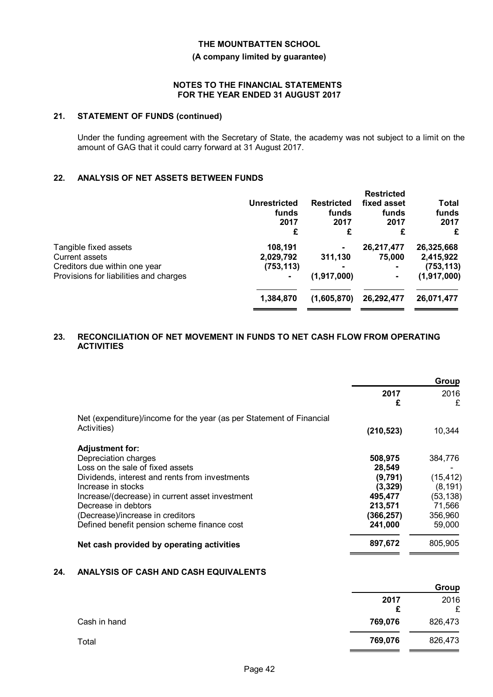## **(A company limited by guarantee)**

### **NOTES TO THE FINANCIAL STATEMENTS FOR THE YEAR ENDED 31 AUGUST 2017**

## **21. STATEMENT OF FUNDS (continued)**

Under the funding agreement with the Secretary of State, the academy was not subject to a limit on the amount of GAG that it could carry forward at 31 August 2017.

# **22. ANALYSIS OF NET ASSETS BETWEEN FUNDS**

|                                                                                                                    | <b>Unrestricted</b><br>funds<br>2017<br>£ | <b>Restricted</b><br>funds<br>2017<br>£ | <b>Restricted</b><br>fixed asset<br>funds<br>2017<br>£ | Total<br>funds<br>2017<br>£                            |
|--------------------------------------------------------------------------------------------------------------------|-------------------------------------------|-----------------------------------------|--------------------------------------------------------|--------------------------------------------------------|
| Tangible fixed assets<br>Current assets<br>Creditors due within one year<br>Provisions for liabilities and charges | 108,191<br>2,029,792<br>(753, 113)<br>۰   | ۰<br>311,130<br>(1,917,000)             | 26,217,477<br>75,000<br>۰                              | 26,325,668<br>2,415,922<br>(753, 113)<br>(1, 917, 000) |
|                                                                                                                    | 1,384,870                                 | (1,605,870)                             | 26,292,477                                             | 26,071,477                                             |

# **23. RECONCILIATION OF NET MOVEMENT IN FUNDS TO NET CASH FLOW FROM OPERATING ACTIVITIES**

|                                                                      | Group      |           |
|----------------------------------------------------------------------|------------|-----------|
|                                                                      | 2017<br>£  | 2016<br>£ |
| Net (expenditure)/income for the year (as per Statement of Financial |            |           |
| Activities)                                                          | (210, 523) | 10,344    |
| <b>Adjustment for:</b>                                               |            |           |
| Depreciation charges                                                 | 508,975    | 384,776   |
| Loss on the sale of fixed assets                                     | 28.549     |           |
| Dividends, interest and rents from investments                       | (9,791)    | (15, 412) |
| Increase in stocks                                                   | (3,329)    | (8, 191)  |
| Increase/(decrease) in current asset investment                      | 495,477    | (53, 138) |
| Decrease in debtors                                                  | 213,571    | 71,566    |
| (Decrease)/increase in creditors                                     | (366,257)  | 356,960   |
| Defined benefit pension scheme finance cost                          | 241,000    | 59,000    |
| Net cash provided by operating activities                            | 897,672    | 805,905   |

# **24. ANALYSIS OF CASH AND CASH EQUIVALENTS**

|              |           | Group     |
|--------------|-----------|-----------|
|              | 2017<br>£ | 2016<br>£ |
| Cash in hand | 769,076   | 826,473   |
| Total        | 769,076   | 826,473   |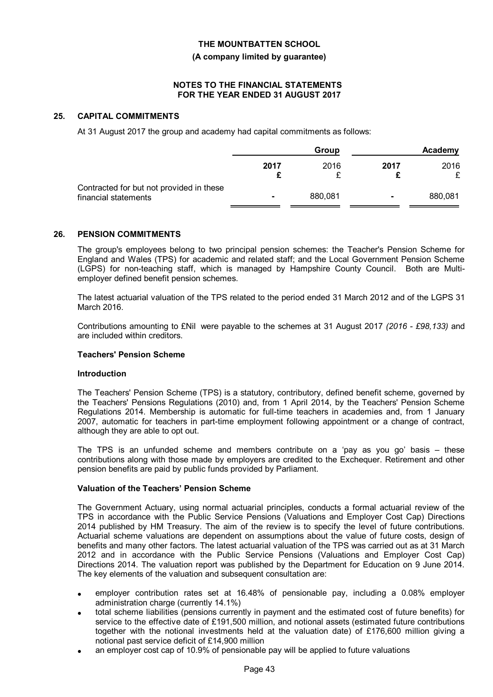#### **(A company limited by guarantee)**

# **NOTES TO THE FINANCIAL STATEMENTS FOR THE YEAR ENDED 31 AUGUST 2017**

## **25. CAPITAL COMMITMENTS**

At 31 August 2017 the group and academy had capital commitments as follows:

|                                                                  |      | Group   |      | Academy |
|------------------------------------------------------------------|------|---------|------|---------|
|                                                                  | 2017 | 2016    | 2017 | 2016    |
| Contracted for but not provided in these<br>financial statements |      | 880,081 |      | 880,081 |

### **26. PENSION COMMITMENTS**

The group's employees belong to two principal pension schemes: the Teacher's Pension Scheme for England and Wales (TPS) for academic and related staff; and the Local Government Pension Scheme (LGPS) for non-teaching staff, which is managed by Hampshire County Council. Both are Multiemployer defined benefit pension schemes.

The latest actuarial valuation of the TPS related to the period ended 31 March 2012 and of the LGPS 31 March 2016.

Contributions amounting to £Nil were payable to the schemes at 31 August 2017 *(2016 - £98,133)* and are included within creditors.

# **Teachers' Pension Scheme**

#### **Introduction**

The Teachers' Pension Scheme (TPS) is a statutory, contributory, defined benefit scheme, governed by the Teachers' Pensions Regulations (2010) and, from 1 April 2014, by the Teachers' Pension Scheme Regulations 2014. Membership is automatic for full-time teachers in academies and, from 1 January 2007, automatic for teachers in part-time employment following appointment or a change of contract, although they are able to opt out.

The TPS is an unfunded scheme and members contribute on a 'pay as you go' basis – these contributions along with those made by employers are credited to the Exchequer. Retirement and other pension benefits are paid by public funds provided by Parliament.

#### **Valuation of the Teachers' Pension Scheme**

The Government Actuary, using normal actuarial principles, conducts a formal actuarial review of the TPS in accordance with the Public Service Pensions (Valuations and Employer Cost Cap) Directions 2014 published by HM Treasury. The aim of the review is to specify the level of future contributions. Actuarial scheme valuations are dependent on assumptions about the value of future costs, design of benefits and many other factors. The latest actuarial valuation of the TPS was carried out as at 31 March 2012 and in accordance with the Public Service Pensions (Valuations and Employer Cost Cap) Directions 2014. The valuation report was published by the Department for Education on 9 June 2014. The key elements of the valuation and subsequent consultation are:

- employer contribution rates set at 16.48% of pensionable pay, including a 0.08% employer administration charge (currently 14.1%)
- total scheme liabilities (pensions currently in payment and the estimated cost of future benefits) for service to the effective date of £191,500 million, and notional assets (estimated future contributions together with the notional investments held at the valuation date) of £176,600 million giving a notional past service deficit of £14,900 million
- an employer cost cap of 10.9% of pensionable pay will be applied to future valuations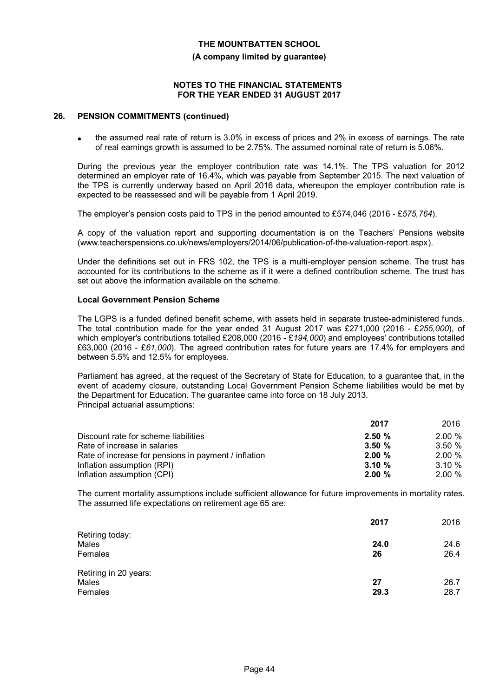#### **(A company limited by guarantee)**

## **NOTES TO THE FINANCIAL STATEMENTS FOR THE YEAR ENDED 31 AUGUST 2017**

#### **26. PENSION COMMITMENTS (continued)**

 the assumed real rate of return is 3.0% in excess of prices and 2% in excess of earnings. The rate of real earnings growth is assumed to be 2.75%. The assumed nominal rate of return is 5.06%.

During the previous year the employer contribution rate was 14.1%. The TPS valuation for 2012 determined an employer rate of 16.4%, which was payable from September 2015. The next valuation of the TPS is currently underway based on April 2016 data, whereupon the employer contribution rate is expected to be reassessed and will be payable from 1 April 2019.

The employer's pension costs paid to TPS in the period amounted to £574,046 (2016 - £*575,764*).

A copy of the valuation report and supporting documentation is on the Teachers' Pensions website (www.teacherspensions.co.uk/news/employers/2014/06/publication-of-the-valuation-report.aspx).

Under the definitions set out in FRS 102, the TPS is a multi-employer pension scheme. The trust has accounted for its contributions to the scheme as if it were a defined contribution scheme. The trust has set out above the information available on the scheme.

### **Local Government Pension Scheme**

The LGPS is a funded defined benefit scheme, with assets held in separate trustee-administered funds. The total contribution made for the year ended 31 August 2017 was £271,000 (2016 - £*255,000*), of which employer's contributions totalled £208,000 (2016 - £*194,000*) and employees' contributions totalled £63,000 (2016 - £*61,000*). The agreed contribution rates for future years are 17.4% for employers and between 5.5% and 12.5% for employees.

Parliament has agreed, at the request of the Secretary of State for Education, to a guarantee that, in the event of academy closure, outstanding Local Government Pension Scheme liabilities would be met by the Department for Education. The guarantee came into force on 18 July 2013. Principal actuarial assumptions:

|                                                      | 2017      | 2016      |
|------------------------------------------------------|-----------|-----------|
| Discount rate for scheme liabilities                 | 2.50%     | $2.00 \%$ |
| Rate of increase in salaries                         | 3.50%     | $3.50 \%$ |
| Rate of increase for pensions in payment / inflation | $2.00 \%$ | $2.00 \%$ |
| Inflation assumption (RPI)                           | 3.10%     | $3.10 \%$ |
| Inflation assumption (CPI)                           | 2.00%     | $2.00 \%$ |

The current mortality assumptions include sufficient allowance for future improvements in mortality rates. The assumed life expectations on retirement age 65 are:

|                       | 2017 | 2016 |
|-----------------------|------|------|
| Retiring today:       |      |      |
| Males                 | 24.0 | 24.6 |
| Females               | 26   | 26.4 |
| Retiring in 20 years: |      |      |
| Males                 | 27   | 26.7 |
| Females               | 29.3 | 28.7 |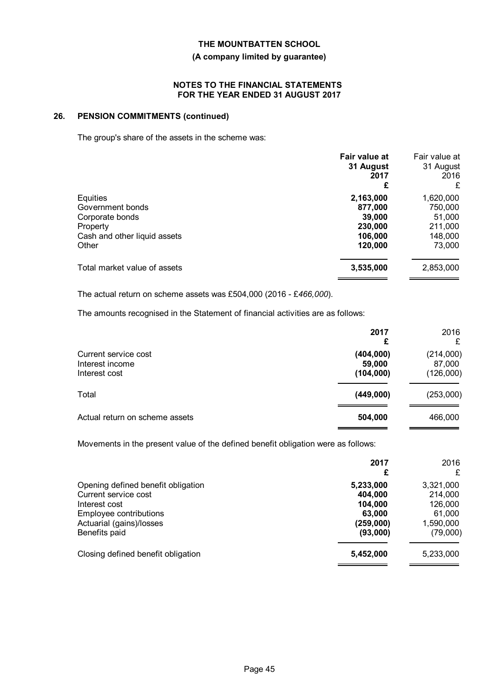# **(A company limited by guarantee)**

## **NOTES TO THE FINANCIAL STATEMENTS FOR THE YEAR ENDED 31 AUGUST 2017**

# **26. PENSION COMMITMENTS (continued)**

The group's share of the assets in the scheme was:

|                              | Fair value at<br>31 August<br>2017<br>£ | Fair value at<br>31 August<br>2016<br>£ |
|------------------------------|-----------------------------------------|-----------------------------------------|
| Equities                     | 2,163,000                               | 1,620,000                               |
| Government bonds             | 877,000                                 | 750,000                                 |
| Corporate bonds              | 39,000                                  | 51,000                                  |
| Property                     | 230,000                                 | 211,000                                 |
| Cash and other liquid assets | 106,000                                 | 148,000                                 |
| Other                        | 120,000                                 | 73,000                                  |
| Total market value of assets | 3,535,000                               | 2,853,000                               |

The actual return on scheme assets was £504,000 (2016 - £*466,000*).

The amounts recognised in the Statement of financial activities are as follows:

|                                                          | 2017<br>£                        | 2016<br>£                        |
|----------------------------------------------------------|----------------------------------|----------------------------------|
| Current service cost<br>Interest income<br>Interest cost | (404,000)<br>59,000<br>(104,000) | (214,000)<br>87,000<br>(126,000) |
| Total                                                    | (449,000)                        | (253,000)                        |
| Actual return on scheme assets                           | 504,000                          | 466,000                          |

Movements in the present value of the defined benefit obligation were as follows:

|                                                                                                                                                    | 2017<br>£                                                          | 2016<br>£                                                          |
|----------------------------------------------------------------------------------------------------------------------------------------------------|--------------------------------------------------------------------|--------------------------------------------------------------------|
| Opening defined benefit obligation<br>Current service cost<br>Interest cost<br>Employee contributions<br>Actuarial (gains)/losses<br>Benefits paid | 5,233,000<br>404,000<br>104,000<br>63,000<br>(259,000)<br>(93,000) | 3,321,000<br>214,000<br>126,000<br>61.000<br>1,590,000<br>(79,000) |
| Closing defined benefit obligation                                                                                                                 | 5,452,000                                                          | 5,233,000                                                          |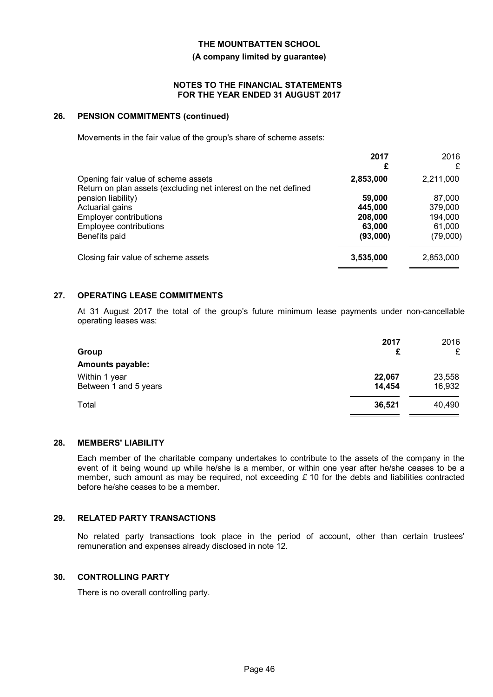#### **(A company limited by guarantee)**

#### **NOTES TO THE FINANCIAL STATEMENTS FOR THE YEAR ENDED 31 AUGUST 2017**

#### **26. PENSION COMMITMENTS (continued)**

Movements in the fair value of the group's share of scheme assets:

|                                                                                                         | 2017<br>£ | 2016<br>£ |
|---------------------------------------------------------------------------------------------------------|-----------|-----------|
| Opening fair value of scheme assets<br>Return on plan assets (excluding net interest on the net defined | 2,853,000 | 2,211,000 |
| pension liability)                                                                                      | 59,000    | 87,000    |
| Actuarial gains                                                                                         | 445.000   | 379,000   |
| <b>Employer contributions</b>                                                                           | 208,000   | 194,000   |
| Employee contributions                                                                                  | 63,000    | 61,000    |
| Benefits paid                                                                                           | (93,000)  | (79,000)  |
| Closing fair value of scheme assets                                                                     | 3,535,000 | 2,853,000 |

# **27. OPERATING LEASE COMMITMENTS**

At 31 August 2017 the total of the group's future minimum lease payments under non-cancellable operating leases was:

| Group                                  | 2017<br>£        | 2016<br>£        |
|----------------------------------------|------------------|------------------|
| <b>Amounts payable:</b>                |                  |                  |
| Within 1 year<br>Between 1 and 5 years | 22,067<br>14,454 | 23,558<br>16,932 |
| Total                                  | 36,521           | 40,490           |

## **28. MEMBERS' LIABILITY**

Each member of the charitable company undertakes to contribute to the assets of the company in the event of it being wound up while he/she is a member, or within one year after he/she ceases to be a member, such amount as may be required, not exceeding *£* 10 for the debts and liabilities contracted before he/she ceases to be a member.

#### **29. RELATED PARTY TRANSACTIONS**

No related party transactions took place in the period of account, other than certain trustees' remuneration and expenses already disclosed in note 12.

## **30. CONTROLLING PARTY**

There is no overall controlling party.